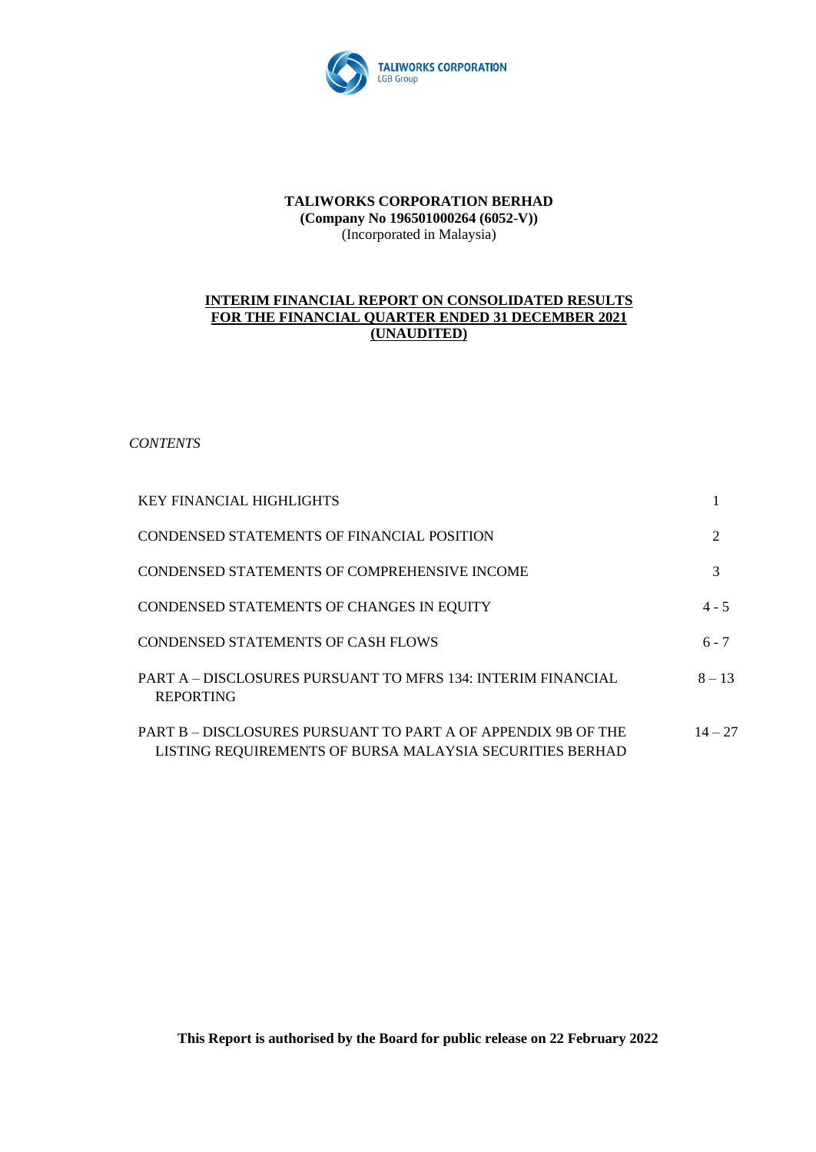

### **TALIWORKS CORPORATION BERHAD (Company No 196501000264 (6052-V))** (Incorporated in Malaysia)

### **INTERIM FINANCIAL REPORT ON CONSOLIDATED RESULTS FOR THE FINANCIAL QUARTER ENDED 31 DECEMBER 2021 (UNAUDITED)**

*CONTENTS*

| <b>KEY FINANCIAL HIGHLIGHTS</b>                                                                                           |           |
|---------------------------------------------------------------------------------------------------------------------------|-----------|
| CONDENSED STATEMENTS OF FINANCIAL POSITION                                                                                | 2         |
| CONDENSED STATEMENTS OF COMPREHENSIVE INCOME                                                                              | 3         |
| CONDENSED STATEMENTS OF CHANGES IN EQUITY                                                                                 | $4 - 5$   |
| <b>CONDENSED STATEMENTS OF CASH FLOWS</b>                                                                                 | $6 - 7$   |
| PART A – DISCLOSURES PURSUANT TO MFRS 134: INTERIM FINANCIAL<br><b>REPORTING</b>                                          | $8 - 13$  |
| PART B – DISCLOSURES PURSUANT TO PART A OF APPENDIX 9B OF THE<br>LISTING REQUIREMENTS OF BURSA MALAYSIA SECURITIES BERHAD | $14 - 27$ |

**This Report is authorised by the Board for public release on 22 February 2022**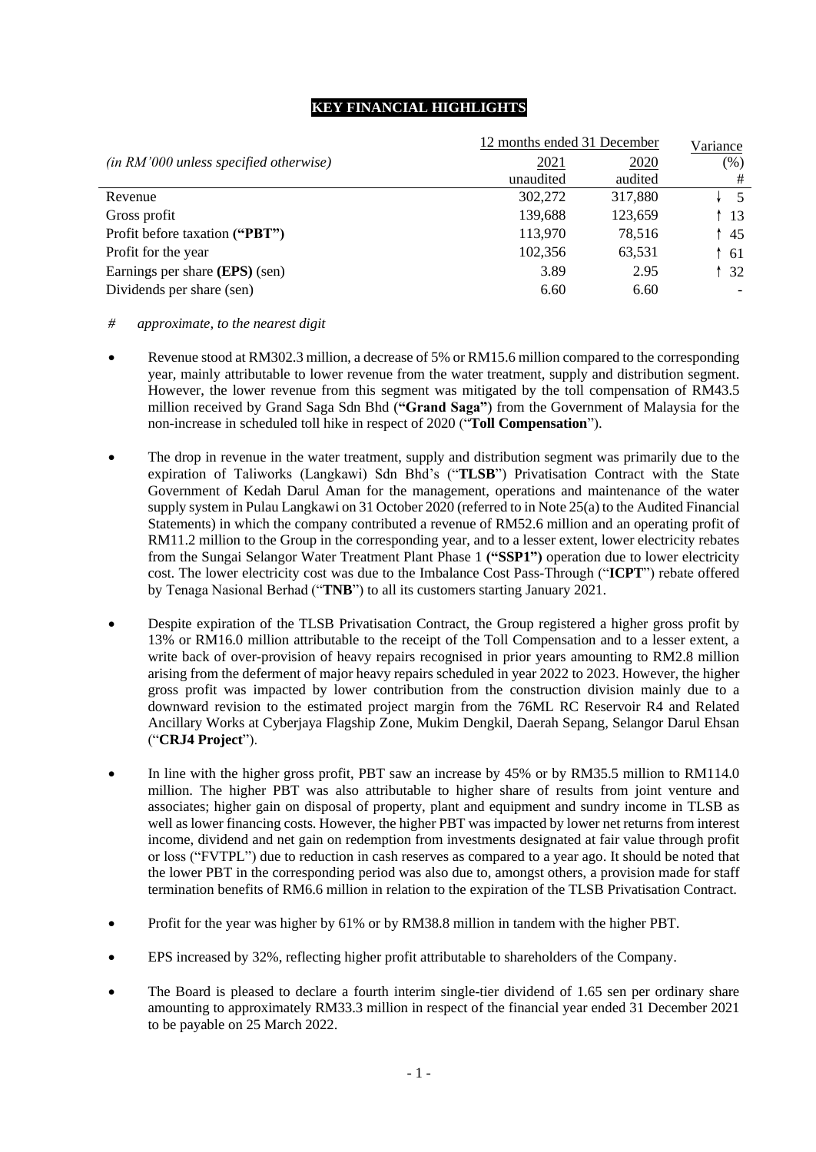### **KEY FINANCIAL HIGHLIGHTS**

|                                          | 12 months ended 31 December |         |      |  |  |  |  |
|------------------------------------------|-----------------------------|---------|------|--|--|--|--|
| $(in RM'000 unless specified otherwise)$ | 2021                        | 2020    | (% ) |  |  |  |  |
|                                          | unaudited                   | audited | #    |  |  |  |  |
| Revenue                                  | 302,272                     | 317,880 | - 5  |  |  |  |  |
| Gross profit                             | 139,688                     | 123,659 | -13  |  |  |  |  |
| Profit before taxation ("PBT")           | 113,970                     | 78,516  | 45   |  |  |  |  |
| Profit for the year                      | 102,356                     | 63,531  | -61  |  |  |  |  |
| Earnings per share (EPS) (sen)           | 3.89                        | 2.95    | 32   |  |  |  |  |
| Dividends per share (sen)                | 6.60                        | 6.60    |      |  |  |  |  |

### *# approximate, to the nearest digit*

- Revenue stood at RM302.3 million, a decrease of 5% or RM15.6 million compared to the corresponding year, mainly attributable to lower revenue from the water treatment, supply and distribution segment. However, the lower revenue from this segment was mitigated by the toll compensation of RM43.5 million received by Grand Saga Sdn Bhd (**"Grand Saga"**) from the Government of Malaysia for the non-increase in scheduled toll hike in respect of 2020 ("**Toll Compensation**").
- The drop in revenue in the water treatment, supply and distribution segment was primarily due to the expiration of Taliworks (Langkawi) Sdn Bhd's ("**TLSB**") Privatisation Contract with the State Government of Kedah Darul Aman for the management, operations and maintenance of the water supply system in Pulau Langkawi on 31 October 2020 (referred to in Note 25(a) to the Audited Financial Statements) in which the company contributed a revenue of RM52.6 million and an operating profit of RM11.2 million to the Group in the corresponding year, and to a lesser extent, lower electricity rebates from the Sungai Selangor Water Treatment Plant Phase 1 **("SSP1")** operation due to lower electricity cost. The lower electricity cost was due to the Imbalance Cost Pass-Through ("**ICPT**") rebate offered by Tenaga Nasional Berhad ("**TNB**") to all its customers starting January 2021.
- Despite expiration of the TLSB Privatisation Contract, the Group registered a higher gross profit by 13% or RM16.0 million attributable to the receipt of the Toll Compensation and to a lesser extent, a write back of over-provision of heavy repairs recognised in prior years amounting to RM2.8 million arising from the deferment of major heavy repairs scheduled in year 2022 to 2023. However, the higher gross profit was impacted by lower contribution from the construction division mainly due to a downward revision to the estimated project margin from the 76ML RC Reservoir R4 and Related Ancillary Works at Cyberjaya Flagship Zone, Mukim Dengkil, Daerah Sepang, Selangor Darul Ehsan ("**CRJ4 Project**").
- In line with the higher gross profit, PBT saw an increase by 45% or by RM35.5 million to RM114.0 million. The higher PBT was also attributable to higher share of results from joint venture and associates; higher gain on disposal of property, plant and equipment and sundry income in TLSB as well as lower financing costs. However, the higher PBT was impacted by lower net returns from interest income, dividend and net gain on redemption from investments designated at fair value through profit or loss ("FVTPL") due to reduction in cash reserves as compared to a year ago. It should be noted that the lower PBT in the corresponding period was also due to, amongst others, a provision made for staff termination benefits of RM6.6 million in relation to the expiration of the TLSB Privatisation Contract.
- Profit for the year was higher by 61% or by RM38.8 million in tandem with the higher PBT.
- EPS increased by 32%, reflecting higher profit attributable to shareholders of the Company.
- The Board is pleased to declare a fourth interim single-tier dividend of 1.65 sen per ordinary share amounting to approximately RM33.3 million in respect of the financial year ended 31 December 2021 to be payable on 25 March 2022.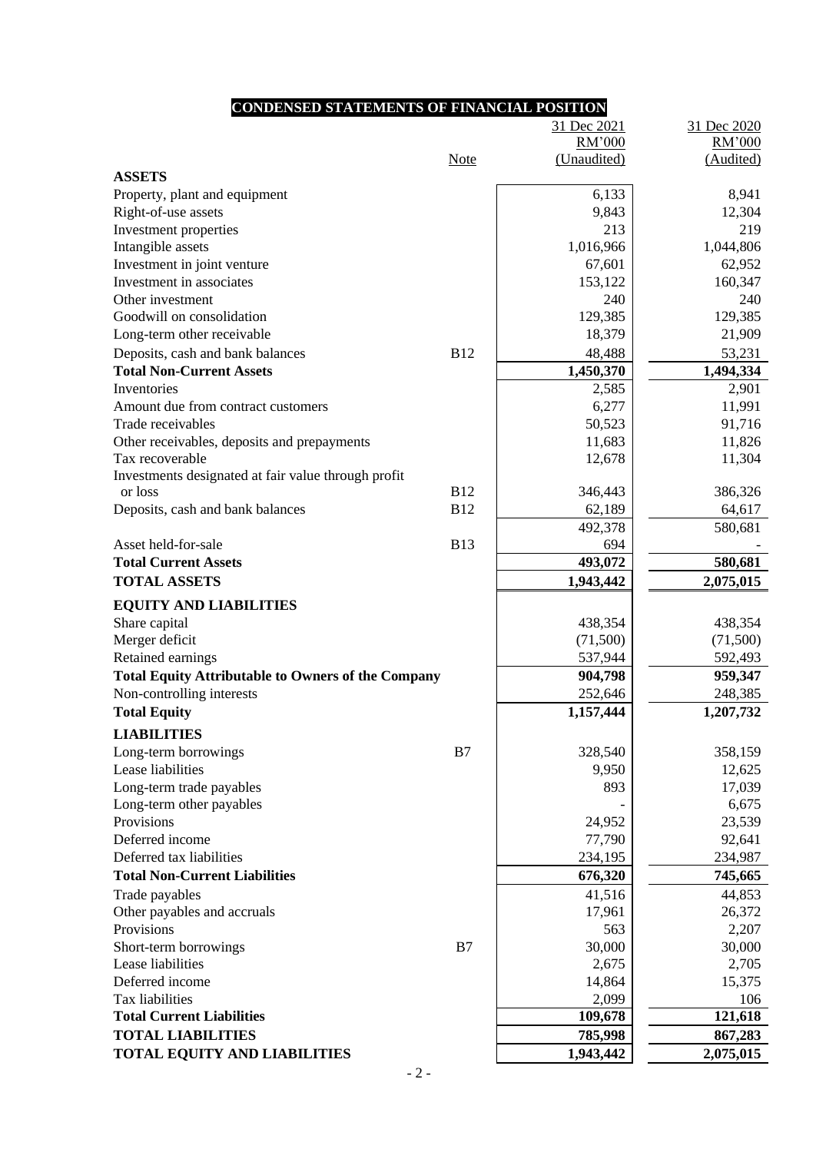### **CONDENSED STATEMENTS OF FINANCIAL POSITION** 31 Dec 2021 31 Dec 2020 Note RM'000 (Unaudited) RM'000 (Audited) **ASSETS** Property, plant and equipment 6,133 8,941 Right-of-use assets  $9.843$  12,304 Investment properties 213 219 Intangible assets 1,016,966 1,044,806 Investment in joint venture 67,601 62,952 Investment in associates 153,122 160,347 Other investment 240 240 Goodwill on consolidation 129,385 129,385 129,385 Long-term other receivable 18,379 21,909 Deposits, cash and bank balances B12 B12 48,488 53,231 **Total Non-Current Assets 1,450,370 1,494,334** Inventories 2,585 2,901 Amount due from contract customers  $6.277$  11,991 Trade receivables  $\begin{array}{ccc} 91,716 \\ \hline \end{array}$ Other receivables, deposits and prepayments 11,683 11,683 11,826 Tax recoverable  $12,678$  11,304 Investments designated at fair value through profit or loss B12 346,443 386,326 Deposits, cash and bank balances B12 62,189 64,617 492,378 580,681 Asset held-for-sale B13 B13 694 **Total Current Assets 193,072 580,681 TOTAL ASSETS 1,943,442 2,075,015 EQUITY AND LIABILITIES** Share capital 438,354 438,354 438,354 438,354 438,354 438,354 438,354 438,354 438,354 438,354 438,354 438,354 438,354 438,354 438,354 438,354 438,354 438,354 438,354 438,354 438,354 438,354 438,354 438,354 438,354 438,354 Merger deficit (71,500) (71,500) (71,500) Retained earnings 537,944 592,493 Total Equity Attributable to Owners of the Company **904,798 959,347** Non-controlling interests 252,646 248,385 **Total Equity 1,207,732 1,157,444 1,207,732 LIABILITIES** Long-term borrowings B7 B7 328,540 358,159 Lease liabilities 12,625 Long-term trade payables and the set of the set of the set of the set of the set of the set of the set of the set of the set of the set of the set of the set of the set of the set of the set of the set of the set of the se Long-term other payables 6,675 Provisions 24,952 23,539 Deferred income 92,641 Deferred tax liabilities 234,987 **Total Non-Current Liabilities 676,320 745,665** Trade payables  $44,853$ Other payables and accruals and accruals and  $17,961$  26,372 Provisions 2,207 Short-term borrowings **B7 30,000** 30,000 30,000 Lease liabilities 2,705 2,705

Deferred income  $14,864$  15,375 Tax liabilities  $\begin{array}{ccc} 106 & 2,099 \end{array}$   $\begin{array}{ccc} 106 & 2,099 \end{array}$ **Total Current Liabilities 109,678 121,618 TOTAL LIABILITIES 785,998 867,283 TOTAL EQUITY AND LIABILITIES** 1,943,442 2,075,015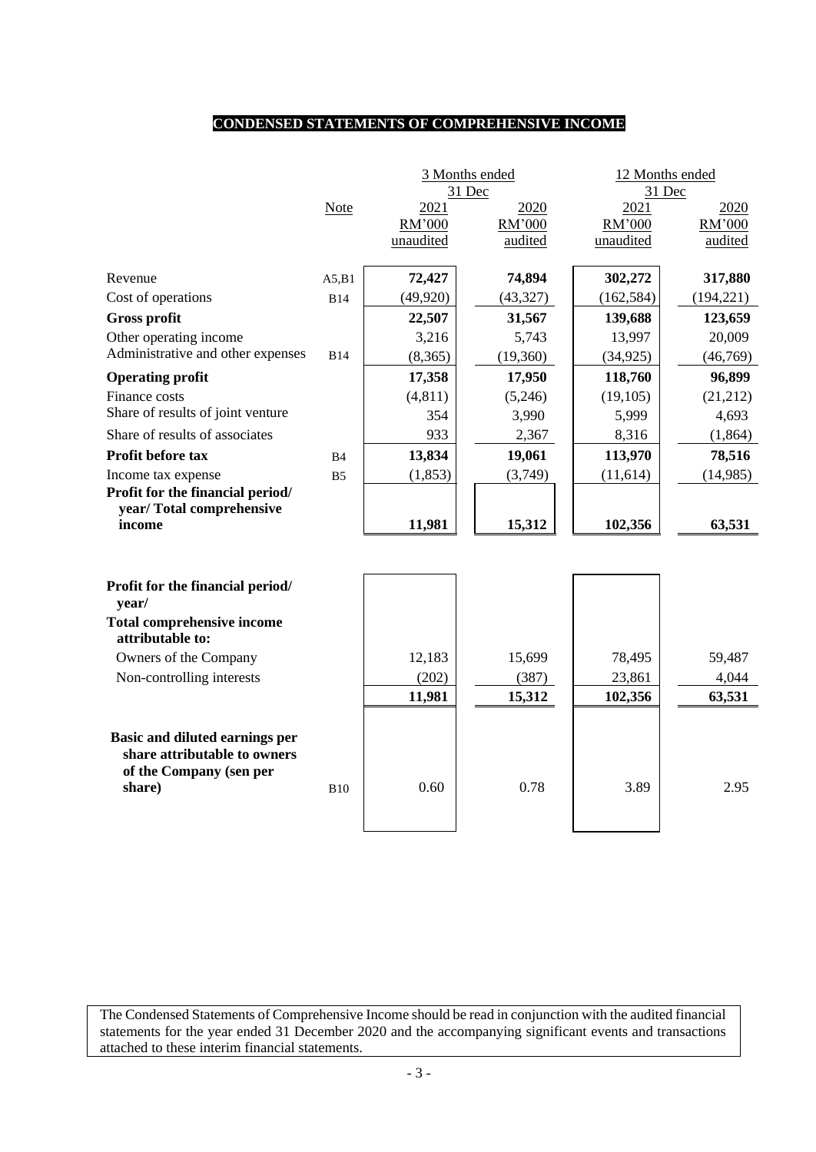# **CONDENSED STATEMENTS OF COMPREHENSIVE INCOME**

|                                                         |                |           | 3 Months ended<br>31 Dec | 12 Months ended<br>31 Dec |            |  |  |
|---------------------------------------------------------|----------------|-----------|--------------------------|---------------------------|------------|--|--|
|                                                         | <b>Note</b>    | 2021      | 2020                     | 2021                      | 2020       |  |  |
|                                                         |                | RM'000    | RM'000                   | RM'000                    | RM'000     |  |  |
|                                                         |                | unaudited | audited                  | unaudited                 | audited    |  |  |
| Revenue                                                 | A5,B1          | 72,427    | 74,894                   | 302,272                   | 317,880    |  |  |
| Cost of operations                                      | <b>B14</b>     | (49, 920) | (43, 327)                | (162, 584)                | (194, 221) |  |  |
| <b>Gross profit</b>                                     |                | 22,507    | 31,567                   | 139,688                   | 123,659    |  |  |
| Other operating income                                  |                | 3,216     | 5,743                    | 13,997                    | 20,009     |  |  |
| Administrative and other expenses                       | <b>B14</b>     | (8,365)   | (19,360)                 | (34, 925)                 | (46,769)   |  |  |
| <b>Operating profit</b>                                 |                | 17,358    | 17,950                   | 118,760                   | 96,899     |  |  |
| Finance costs                                           |                | (4, 811)  | (5,246)                  | (19, 105)                 | (21, 212)  |  |  |
| Share of results of joint venture                       |                | 354       | 3,990                    | 5,999                     | 4,693      |  |  |
| Share of results of associates                          |                | 933       | 2,367                    | 8,316                     | (1, 864)   |  |  |
| Profit before tax                                       | B <sub>4</sub> | 13,834    | 19,061                   | 113,970                   | 78,516     |  |  |
| Income tax expense                                      | B <sub>5</sub> | (1, 853)  | (3,749)                  | (11, 614)                 | (14,985)   |  |  |
| Profit for the financial period/                        |                |           |                          |                           |            |  |  |
| year/Total comprehensive                                |                |           |                          |                           |            |  |  |
| income                                                  |                | 11,981    | 15,312                   | 102,356                   | 63,531     |  |  |
|                                                         |                |           |                          |                           |            |  |  |
| Profit for the financial period/<br>year/               |                |           |                          |                           |            |  |  |
| <b>Total comprehensive income</b><br>attributable to:   |                |           |                          |                           |            |  |  |
| Owners of the Company                                   |                | 12,183    | 15,699                   | 78,495                    | 59,487     |  |  |
| Non-controlling interests                               |                | (202)     | (387)                    | 23,861                    | 4,044      |  |  |
|                                                         |                | 11,981    | 15,312                   | 102,356                   | 63,531     |  |  |
|                                                         |                |           |                          |                           |            |  |  |
| <b>Basic and diluted earnings per</b>                   |                |           |                          |                           |            |  |  |
| share attributable to owners<br>of the Company (sen per |                |           |                          |                           |            |  |  |
| share)                                                  | <b>B10</b>     | 0.60      | 0.78                     | 3.89                      | 2.95       |  |  |
|                                                         |                |           |                          |                           |            |  |  |
|                                                         |                |           |                          |                           |            |  |  |

The Condensed Statements of Comprehensive Income should be read in conjunction with the audited financial statements for the year ended 31 December 2020 and the accompanying significant events and transactions attached to these interim financial statements.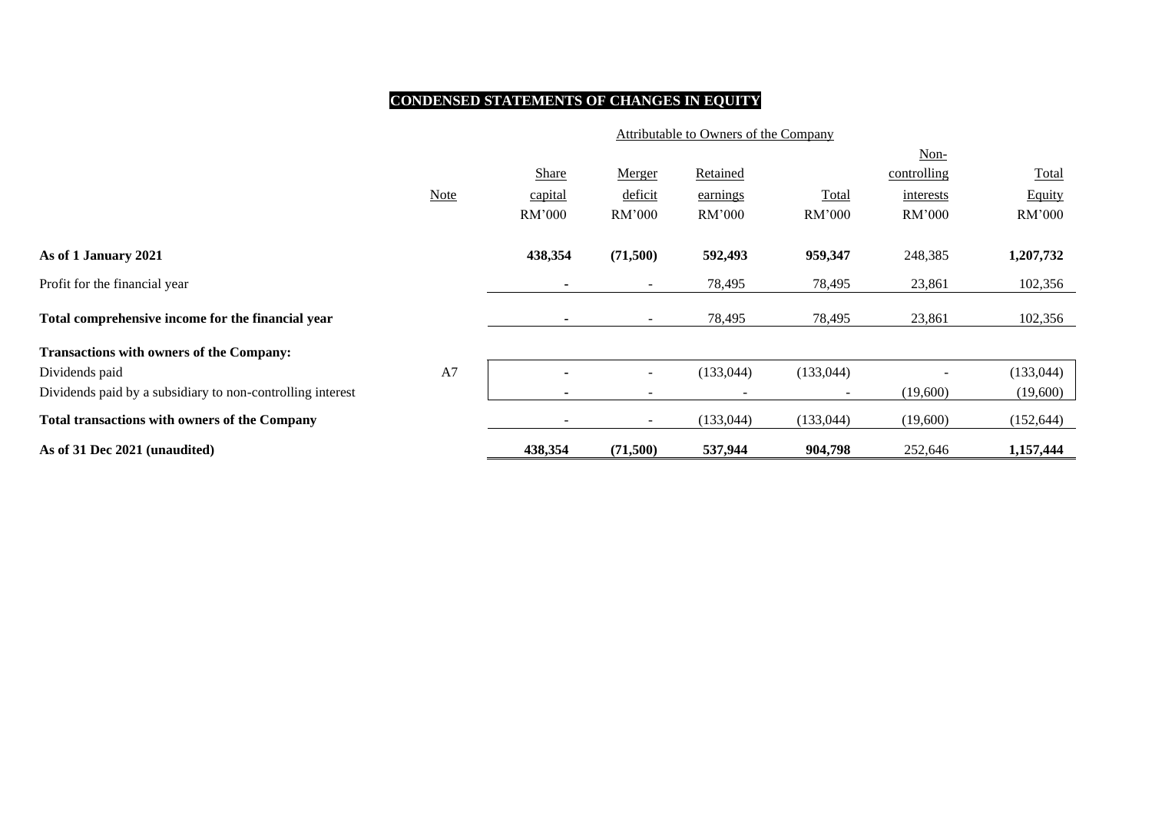# **CONDENSED STATEMENTS OF CHANGES IN EQUITY**

|                                                            | Attributable to Owners of the Company |                          |                          |                          |                          |             |            |  |  |  |
|------------------------------------------------------------|---------------------------------------|--------------------------|--------------------------|--------------------------|--------------------------|-------------|------------|--|--|--|
|                                                            |                                       |                          |                          |                          |                          | Non-        |            |  |  |  |
|                                                            |                                       | Share                    | Merger                   | <b>Retained</b>          |                          | controlling | Total      |  |  |  |
|                                                            | <b>Note</b>                           | capital                  | deficit                  | earnings                 | Total                    | interests   | Equity     |  |  |  |
|                                                            |                                       | RM'000                   | RM'000                   | RM'000                   | RM'000                   | RM'000      | RM'000     |  |  |  |
| As of 1 January 2021                                       |                                       | 438,354                  | (71,500)                 | 592,493                  | 959,347                  | 248,385     | 1,207,732  |  |  |  |
| Profit for the financial year                              |                                       | ۰                        | $\sim$                   | 78,495                   | 78,495                   | 23,861      | 102,356    |  |  |  |
| Total comprehensive income for the financial year          |                                       |                          | $\sim$                   | 78,495                   | 78,495                   | 23,861      | 102,356    |  |  |  |
| <b>Transactions with owners of the Company:</b>            |                                       |                          |                          |                          |                          |             |            |  |  |  |
| Dividends paid                                             | A7                                    |                          | $\sim$                   | (133, 044)               | (133, 044)               |             | (133, 044) |  |  |  |
| Dividends paid by a subsidiary to non-controlling interest |                                       | $\overline{\phantom{a}}$ | $\overline{\phantom{0}}$ | $\overline{\phantom{a}}$ | $\overline{\phantom{0}}$ | (19,600)    | (19,600)   |  |  |  |
| <b>Total transactions with owners of the Company</b>       |                                       |                          | $\sim$                   | (133, 044)               | (133, 044)               | (19,600)    | (152, 644) |  |  |  |
| As of 31 Dec 2021 (unaudited)                              |                                       | 438,354                  | (71,500)                 | 537,944                  | 904,798                  | 252,646     | 1,157,444  |  |  |  |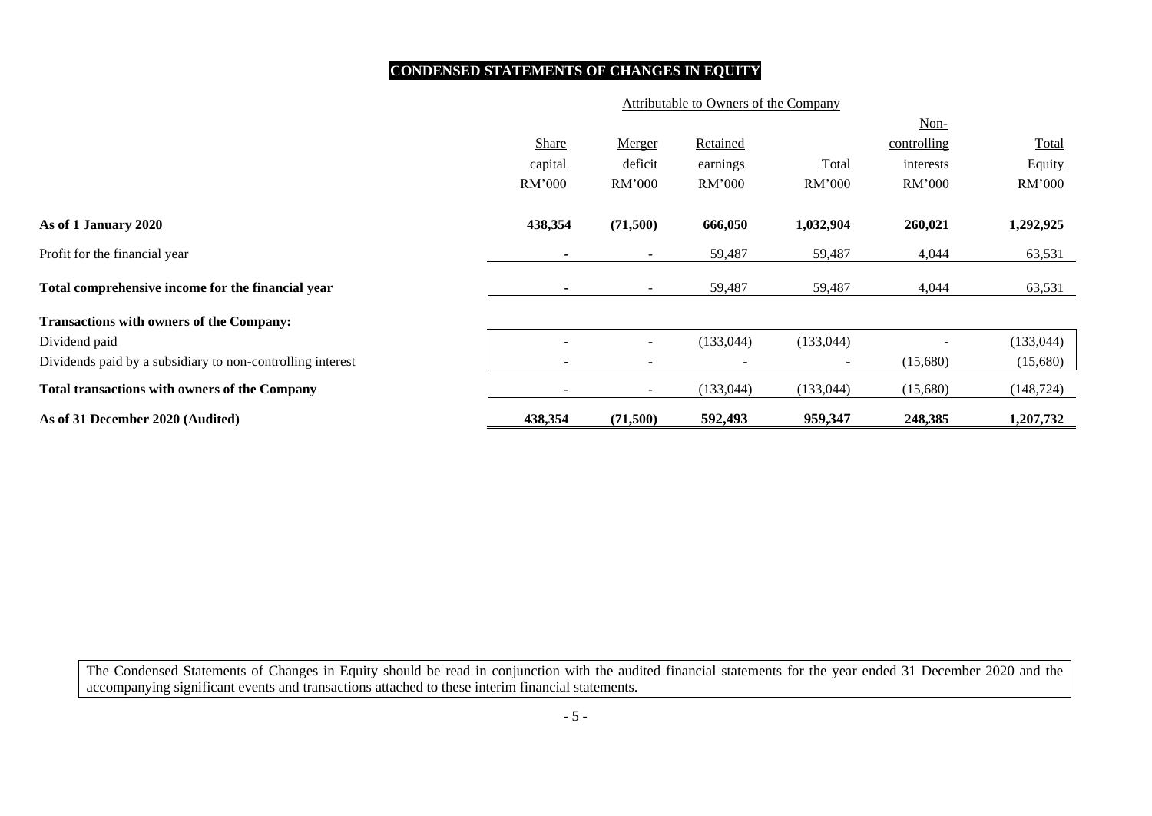# **CONDENSED STATEMENTS OF CHANGES IN EQUITY**

### Attributable to Owners of the Company

|                                                            |         |                          |            |                          | Non-        |            |
|------------------------------------------------------------|---------|--------------------------|------------|--------------------------|-------------|------------|
|                                                            | Share   | Merger                   | Retained   |                          | controlling | Total      |
|                                                            | capital | deficit                  | earnings   | Total                    | interests   | Equity     |
|                                                            | RM'000  | RM'000                   | RM'000     | RM'000                   | RM'000      | RM'000     |
| As of 1 January 2020                                       | 438,354 | (71,500)                 | 666,050    | 1,032,904                | 260,021     | 1,292,925  |
| Profit for the financial year                              |         | $\sim$                   | 59,487     | 59,487                   | 4,044       | 63,531     |
| Total comprehensive income for the financial year          |         | $\sim$                   | 59,487     | 59,487                   | 4,044       | 63,531     |
| <b>Transactions with owners of the Company:</b>            |         |                          |            |                          |             |            |
| Dividend paid                                              |         | $\sim$                   | (133, 044) | (133, 044)               |             | (133, 044) |
| Dividends paid by a subsidiary to non-controlling interest |         | $\overline{\phantom{a}}$ |            | $\overline{\phantom{0}}$ | (15,680)    | (15,680)   |
| <b>Total transactions with owners of the Company</b>       |         | $\sim$                   | (133, 044) | (133, 044)               | (15,680)    | (148, 724) |
| As of 31 December 2020 (Audited)                           | 438,354 | (71,500)                 | 592,493    | 959,347                  | 248,385     | 1,207,732  |

The Condensed Statements of Changes in Equity should be read in conjunction with the audited financial statements for the year ended 31 December 2020 and the accompanying significant events and transactions attached to these interim financial statements.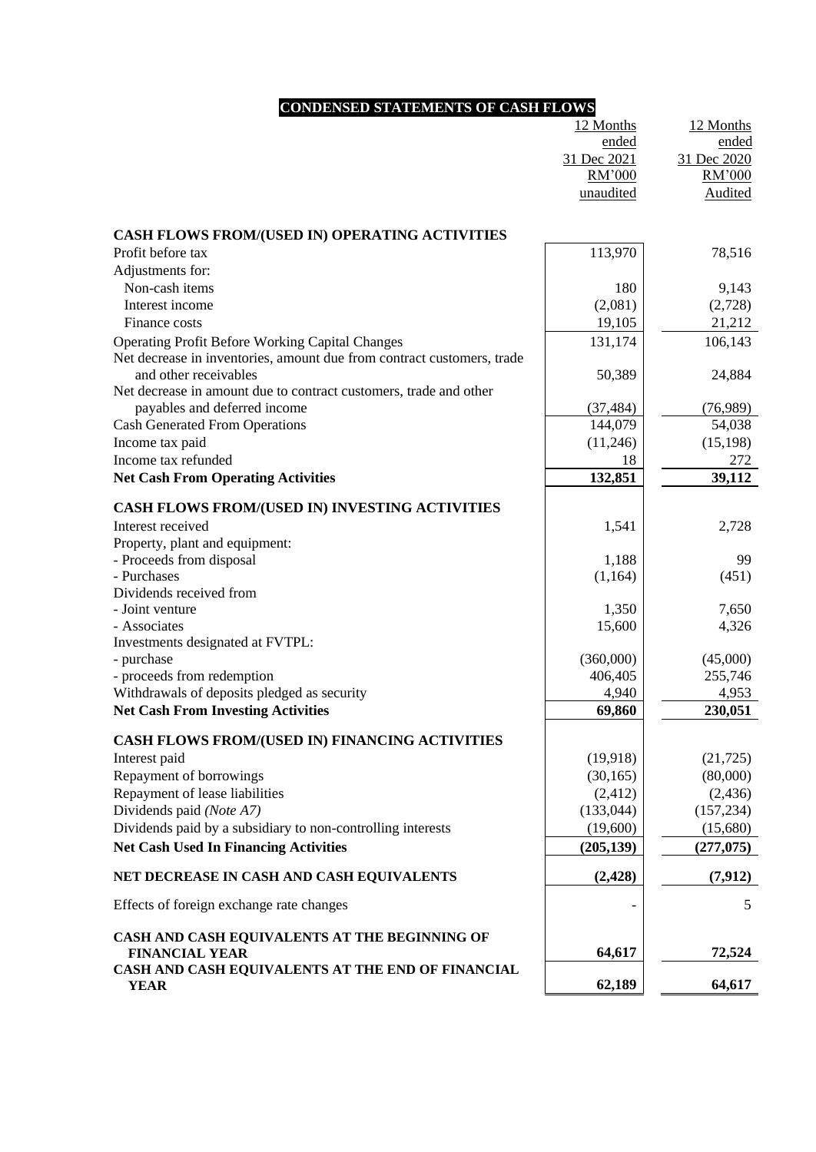# **CONDENSED STATEMENTS OF CASH FLOWS**

|                                                                        | 12 Months   | 12 Months   |
|------------------------------------------------------------------------|-------------|-------------|
|                                                                        | ended       | ended       |
|                                                                        | 31 Dec 2021 | 31 Dec 2020 |
|                                                                        | RM'000      | RM'000      |
|                                                                        | unaudited   | Audited     |
|                                                                        |             |             |
| CASH FLOWS FROM/(USED IN) OPERATING ACTIVITIES                         |             |             |
| Profit before tax                                                      | 113,970     | 78,516      |
| Adjustments for:                                                       |             |             |
| Non-cash items                                                         | 180         | 9,143       |
| Interest income                                                        | (2,081)     | (2,728)     |
| Finance costs                                                          | 19,105      | 21,212      |
| <b>Operating Profit Before Working Capital Changes</b>                 | 131,174     | 106,143     |
| Net decrease in inventories, amount due from contract customers, trade |             |             |
| and other receivables                                                  | 50,389      | 24,884      |
| Net decrease in amount due to contract customers, trade and other      |             |             |
| payables and deferred income                                           | (37, 484)   | (76,989)    |
| <b>Cash Generated From Operations</b>                                  | 144,079     | 54,038      |
| Income tax paid                                                        | (11,246)    | (15, 198)   |
| Income tax refunded                                                    | 18          | 272         |
| <b>Net Cash From Operating Activities</b>                              | 132,851     | 39,112      |
| CASH FLOWS FROM/(USED IN) INVESTING ACTIVITIES                         |             |             |
| Interest received                                                      | 1,541       | 2,728       |
| Property, plant and equipment:                                         |             |             |
| - Proceeds from disposal                                               | 1,188       | 99          |
| - Purchases                                                            | (1,164)     | (451)       |
| Dividends received from                                                |             |             |
| - Joint venture                                                        | 1,350       | 7,650       |
| - Associates                                                           | 15,600      | 4,326       |
| Investments designated at FVTPL:                                       |             |             |
| - purchase                                                             | (360,000)   | (45,000)    |
| - proceeds from redemption                                             | 406,405     | 255,746     |
| Withdrawals of deposits pledged as security                            | 4,940       | 4,953       |
| <b>Net Cash From Investing Activities</b>                              | 69,860      | 230,051     |
| <b>CASH FLOWS FROM/(USED IN) FINANCING ACTIVITIES</b>                  |             |             |
| Interest paid                                                          | (19,918)    | (21, 725)   |
| Repayment of borrowings                                                | (30, 165)   | (80,000)    |
| Repayment of lease liabilities                                         | (2, 412)    | (2, 436)    |
| Dividends paid (Note A7)                                               | (133, 044)  | (157, 234)  |
| Dividends paid by a subsidiary to non-controlling interests            | (19,600)    | (15,680)    |
| <b>Net Cash Used In Financing Activities</b>                           | (205, 139)  | (277, 075)  |
| NET DECREASE IN CASH AND CASH EQUIVALENTS                              | (2, 428)    | (7, 912)    |
| Effects of foreign exchange rate changes                               |             | 5           |
|                                                                        |             |             |
| CASH AND CASH EQUIVALENTS AT THE BEGINNING OF                          |             |             |
| <b>FINANCIAL YEAR</b>                                                  | 64,617      | 72,524      |
| CASH AND CASH EQUIVALENTS AT THE END OF FINANCIAL<br><b>YEAR</b>       | 62,189      | 64,617      |
|                                                                        |             |             |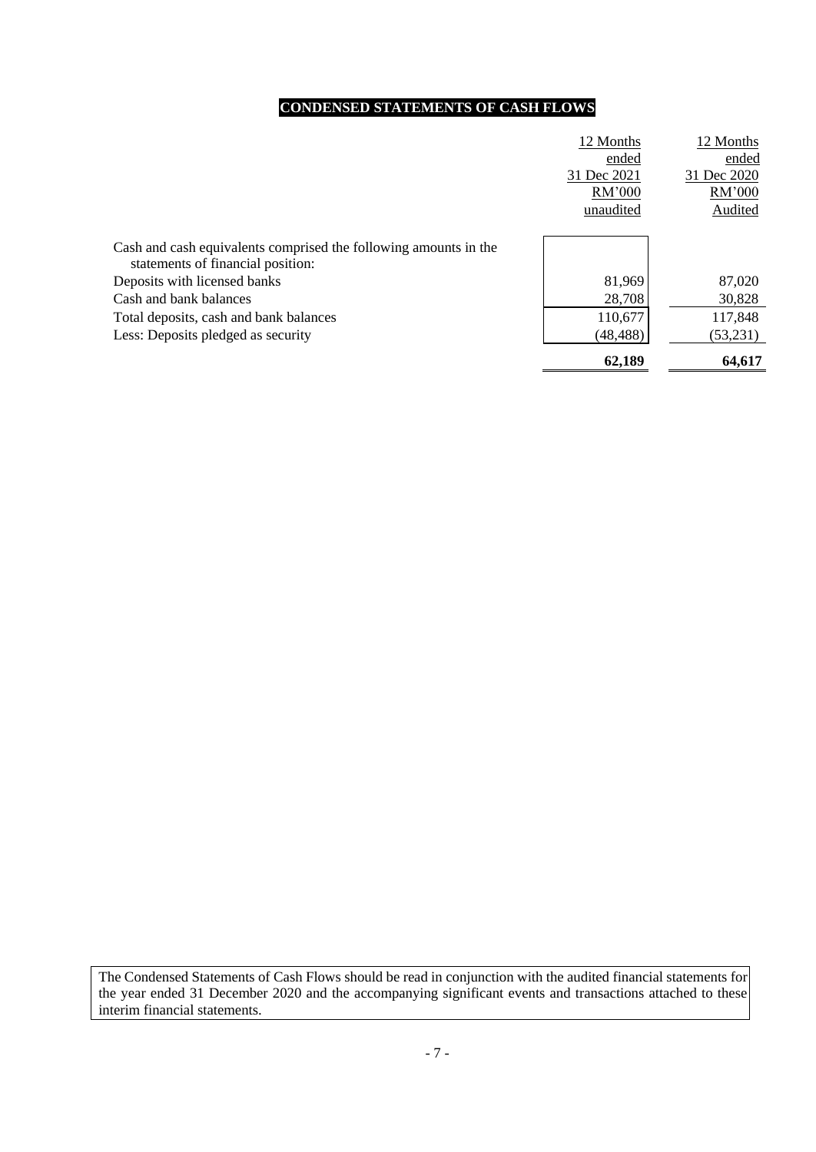# **CONDENSED STATEMENTS OF CASH FLOWS**

|                                                                  | 12 Months   | 12 Months   |
|------------------------------------------------------------------|-------------|-------------|
|                                                                  | ended       | ended       |
|                                                                  | 31 Dec 2021 | 31 Dec 2020 |
|                                                                  | RM'000      | RM'000      |
|                                                                  | unaudited   | Audited     |
|                                                                  |             |             |
| Cash and cash equivalents comprised the following amounts in the |             |             |
| statements of financial position:                                |             |             |
| Deposits with licensed banks                                     | 81,969      | 87,020      |
| Cash and bank balances                                           | 28,708      | 30,828      |
| Total deposits, cash and bank balances                           | 110,677     | 117,848     |
| Less: Deposits pledged as security                               | (48, 488)   | (53,231)    |
|                                                                  | 62,189      | 64,617      |

The Condensed Statements of Cash Flows should be read in conjunction with the audited financial statements for the year ended 31 December 2020 and the accompanying significant events and transactions attached to these interim financial statements.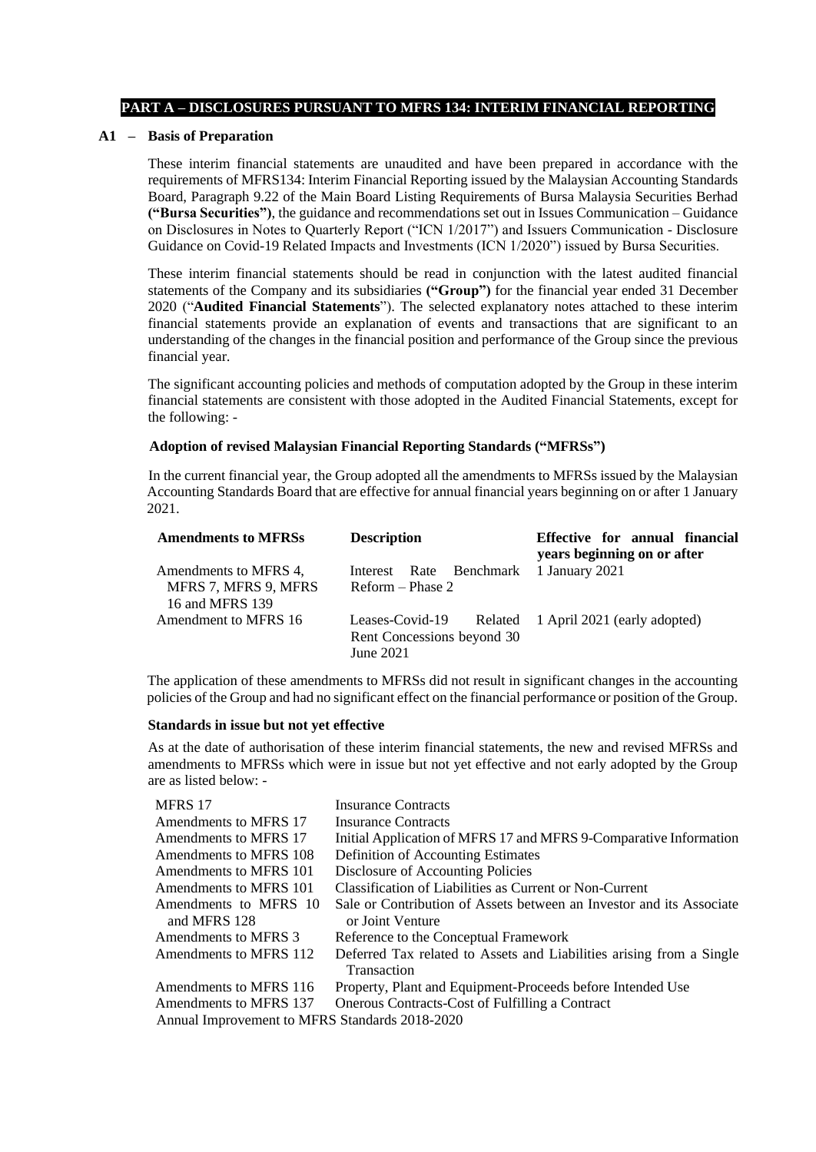### **PART A – DISCLOSURES PURSUANT TO MFRS 134: INTERIM FINANCIAL REPORTING**

### **A1 – Basis of Preparation**

These interim financial statements are unaudited and have been prepared in accordance with the requirements of MFRS134: Interim Financial Reporting issued by the Malaysian Accounting Standards Board, Paragraph 9.22 of the Main Board Listing Requirements of Bursa Malaysia Securities Berhad **("Bursa Securities")**, the guidance and recommendations set out in Issues Communication – Guidance on Disclosures in Notes to Quarterly Report ("ICN 1/2017") and Issuers Communication - Disclosure Guidance on Covid-19 Related Impacts and Investments (ICN 1/2020") issued by Bursa Securities.

These interim financial statements should be read in conjunction with the latest audited financial statements of the Company and its subsidiaries **("Group")** for the financial year ended 31 December 2020 ("**Audited Financial Statements**"). The selected explanatory notes attached to these interim financial statements provide an explanation of events and transactions that are significant to an understanding of the changes in the financial position and performance of the Group since the previous financial year.

The significant accounting policies and methods of computation adopted by the Group in these interim financial statements are consistent with those adopted in the Audited Financial Statements, except for the following: -

### **Adoption of revised Malaysian Financial Reporting Standards ("MFRSs")**

In the current financial year, the Group adopted all the amendments to MFRSs issued by the Malaysian Accounting Standards Board that are effective for annual financial years beginning on or after 1 January 2021.

| <b>Amendments to MFRSs</b>                                       | <b>Description</b>                                                                              | Effective for annual financial<br>years beginning on or after |  |  |  |  |
|------------------------------------------------------------------|-------------------------------------------------------------------------------------------------|---------------------------------------------------------------|--|--|--|--|
| Amendments to MFRS 4,<br>MFRS 7, MFRS 9, MFRS<br>16 and MFRS 139 | Interest Rate Benchmark 1 January 2021<br>Reform – Phase 2                                      |                                                               |  |  |  |  |
| Amendment to MFRS 16                                             | Leases-Covid-19 Related 1 April 2021 (early adopted)<br>Rent Concessions beyond 30<br>June 2021 |                                                               |  |  |  |  |

The application of these amendments to MFRSs did not result in significant changes in the accounting policies of the Group and had no significant effect on the financial performance or position of the Group.

### **Standards in issue but not yet effective**

As at the date of authorisation of these interim financial statements, the new and revised MFRSs and amendments to MFRSs which were in issue but not yet effective and not early adopted by the Group are as listed below: -

| MFRS 17                                        | <b>Insurance Contracts</b>                                           |
|------------------------------------------------|----------------------------------------------------------------------|
| Amendments to MFRS 17                          | <b>Insurance Contracts</b>                                           |
| Amendments to MFRS 17                          | Initial Application of MFRS 17 and MFRS 9-Comparative Information    |
| Amendments to MFRS 108                         | Definition of Accounting Estimates                                   |
| Amendments to MFRS 101                         | Disclosure of Accounting Policies                                    |
| Amendments to MFRS 101                         | Classification of Liabilities as Current or Non-Current              |
| Amendments to MFRS 10                          | Sale or Contribution of Assets between an Investor and its Associate |
| and MFRS 128                                   | or Joint Venture                                                     |
| Amendments to MFRS 3                           | Reference to the Conceptual Framework                                |
| Amendments to MFRS 112                         | Deferred Tax related to Assets and Liabilities arising from a Single |
|                                                | Transaction                                                          |
| Amendments to MFRS 116                         | Property, Plant and Equipment-Proceeds before Intended Use           |
| Amendments to MFRS 137                         | Onerous Contracts-Cost of Fulfilling a Contract                      |
| Annual Improvement to MFRS Standards 2018-2020 |                                                                      |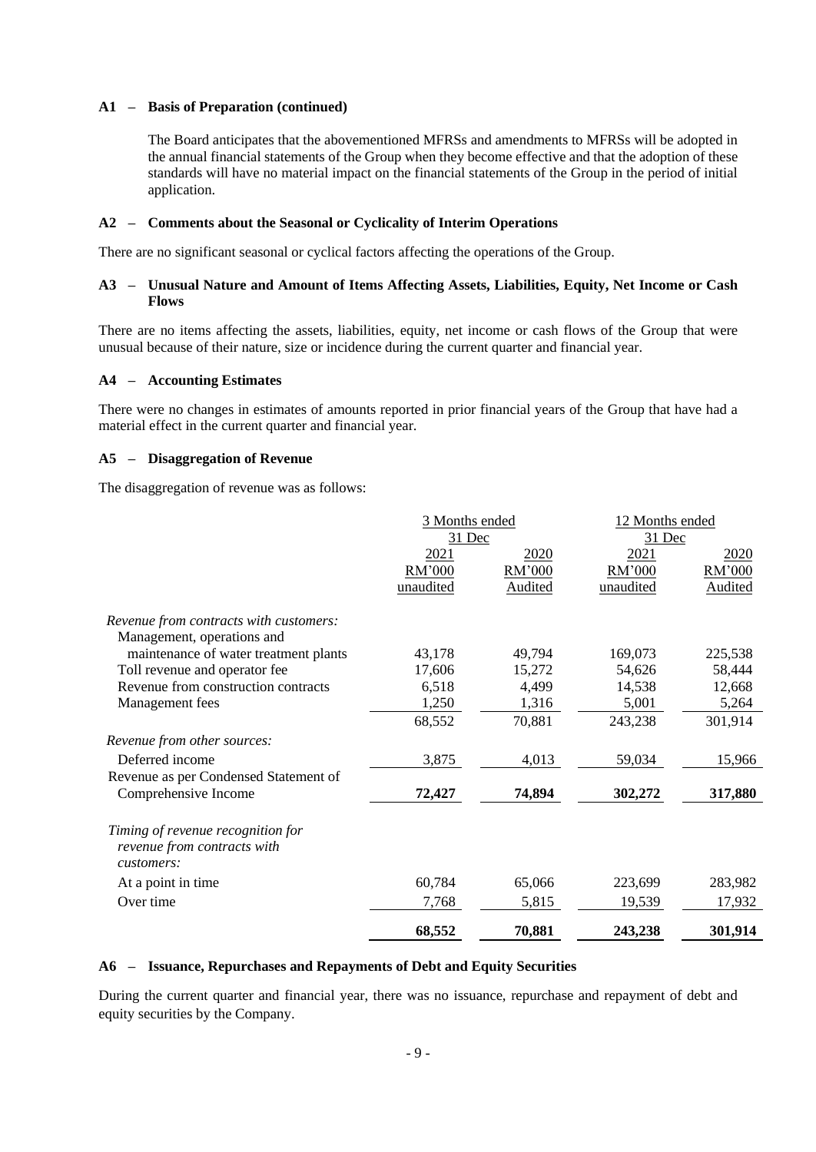### **A1 – Basis of Preparation (continued)**

The Board anticipates that the abovementioned MFRSs and amendments to MFRSs will be adopted in the annual financial statements of the Group when they become effective and that the adoption of these standards will have no material impact on the financial statements of the Group in the period of initial application.

### **A2 – Comments about the Seasonal or Cyclicality of Interim Operations**

There are no significant seasonal or cyclical factors affecting the operations of the Group.

### **A3 – Unusual Nature and Amount of Items Affecting Assets, Liabilities, Equity, Net Income or Cash Flows**

There are no items affecting the assets, liabilities, equity, net income or cash flows of the Group that were unusual because of their nature, size or incidence during the current quarter and financial year.

### **A4 – Accounting Estimates**

There were no changes in estimates of amounts reported in prior financial years of the Group that have had a material effect in the current quarter and financial year.

### **A5 – Disaggregation of Revenue**

The disaggregation of revenue was as follows:

|                                                                                | 3 Months ended<br>31 Dec |                | 12 Months ended<br>31 Dec |         |  |
|--------------------------------------------------------------------------------|--------------------------|----------------|---------------------------|---------|--|
|                                                                                | 2021                     | 2020           | 2021                      | 2020    |  |
|                                                                                | RM'000                   | RM'000         | RM'000                    | RM'000  |  |
|                                                                                | unaudited                | <b>Audited</b> | unaudited                 | Audited |  |
| Revenue from contracts with customers:                                         |                          |                |                           |         |  |
| Management, operations and                                                     |                          |                |                           |         |  |
| maintenance of water treatment plants                                          | 43,178                   | 49,794         | 169,073                   | 225,538 |  |
| Toll revenue and operator fee                                                  | 17,606                   | 15,272         | 54,626                    | 58,444  |  |
| Revenue from construction contracts                                            | 6,518                    | 4,499          | 14,538                    | 12,668  |  |
| Management fees                                                                | 1,250                    | 1,316          | 5,001                     | 5,264   |  |
|                                                                                | 68,552                   | 70,881         | 243,238                   | 301,914 |  |
| Revenue from other sources:                                                    |                          |                |                           |         |  |
| Deferred income                                                                | 3,875                    | 4,013          | 59,034                    | 15,966  |  |
| Revenue as per Condensed Statement of                                          |                          |                |                           |         |  |
| Comprehensive Income                                                           | 72,427                   | 74,894         | 302,272                   | 317,880 |  |
| Timing of revenue recognition for<br>revenue from contracts with<br>customers: |                          |                |                           |         |  |
| At a point in time                                                             | 60,784                   | 65,066         | 223,699                   | 283,982 |  |
| Over time                                                                      | 7,768                    | 5,815          | 19,539                    | 17,932  |  |
|                                                                                | 68,552                   | 70,881         | 243,238                   | 301,914 |  |

### **A6 – Issuance, Repurchases and Repayments of Debt and Equity Securities**

During the current quarter and financial year, there was no issuance, repurchase and repayment of debt and equity securities by the Company.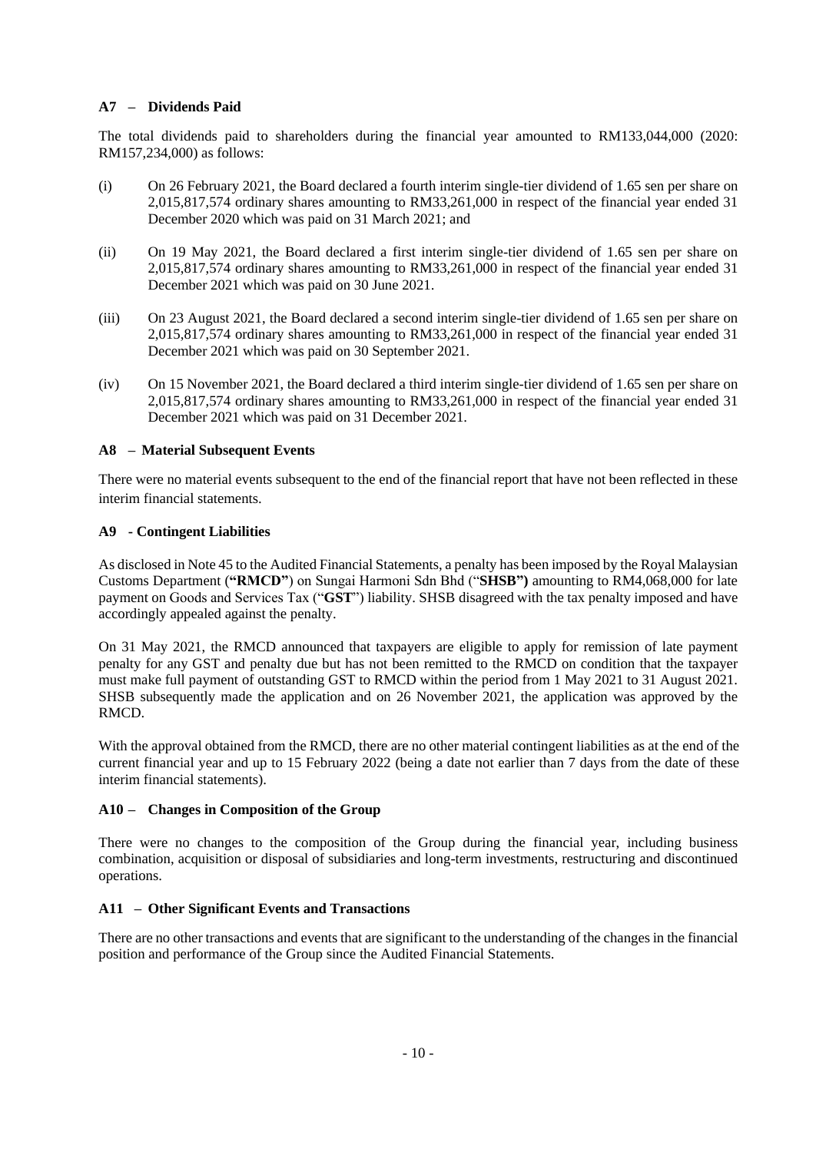### **A7 – Dividends Paid**

The total dividends paid to shareholders during the financial year amounted to RM133,044,000 (2020: RM157,234,000) as follows:

- (i) On 26 February 2021, the Board declared a fourth interim single-tier dividend of 1.65 sen per share on 2,015,817,574 ordinary shares amounting to RM33,261,000 in respect of the financial year ended 31 December 2020 which was paid on 31 March 2021; and
- (ii) On 19 May 2021, the Board declared a first interim single-tier dividend of 1.65 sen per share on 2,015,817,574 ordinary shares amounting to RM33,261,000 in respect of the financial year ended 31 December 2021 which was paid on 30 June 2021.
- (iii) On 23 August 2021, the Board declared a second interim single-tier dividend of 1.65 sen per share on 2,015,817,574 ordinary shares amounting to RM33,261,000 in respect of the financial year ended 31 December 2021 which was paid on 30 September 2021.
- (iv) On 15 November 2021, the Board declared a third interim single-tier dividend of 1.65 sen per share on 2,015,817,574 ordinary shares amounting to RM33,261,000 in respect of the financial year ended 31 December 2021 which was paid on 31 December 2021.

### **A8 – Material Subsequent Events**

There were no material events subsequent to the end of the financial report that have not been reflected in these interim financial statements.

### **A9 - Contingent Liabilities**

As disclosed in Note 45 to the Audited Financial Statements, a penalty has been imposed by the Royal Malaysian Customs Department (**"RMCD"**) on Sungai Harmoni Sdn Bhd ("**SHSB")** amounting to RM4,068,000 for late payment on Goods and Services Tax ("**GST**") liability. SHSB disagreed with the tax penalty imposed and have accordingly appealed against the penalty.

On 31 May 2021, the RMCD announced that taxpayers are eligible to apply for remission of late payment penalty for any GST and penalty due but has not been remitted to the RMCD on condition that the taxpayer must make full payment of outstanding GST to RMCD within the period from 1 May 2021 to 31 August 2021. SHSB subsequently made the application and on 26 November 2021, the application was approved by the RMCD.

With the approval obtained from the RMCD, there are no other material contingent liabilities as at the end of the current financial year and up to 15 February 2022 (being a date not earlier than 7 days from the date of these interim financial statements).

### **A10 – Changes in Composition of the Group**

There were no changes to the composition of the Group during the financial year, including business combination, acquisition or disposal of subsidiaries and long-term investments, restructuring and discontinued operations.

### **A11 – Other Significant Events and Transactions**

There are no other transactions and events that are significant to the understanding of the changes in the financial position and performance of the Group since the Audited Financial Statements.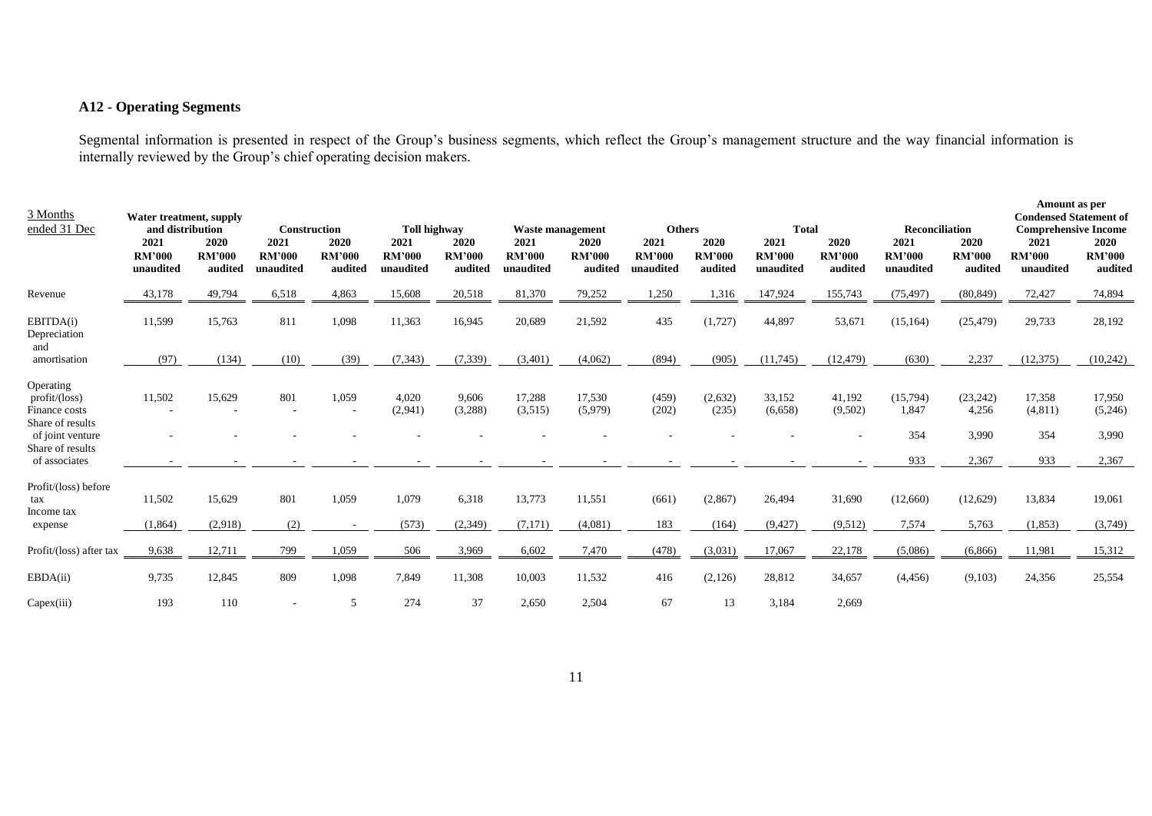## **A12 - Operating Segments**

Segmental information is presented in respect of the Group's business segments, which reflect the Group's management structure and the way financial information is internally reviewed by the Group's chief operating decision makers.

| 3 Months<br>ended 31 Dec                                                                                                | Water treatment, supply<br>and distribution<br>2021<br><b>RM'000</b><br>unaudited | 2020<br><b>RM'000</b><br>audited | <b>Construction</b><br>2021<br><b>RM'000</b><br>unaudited | 2020<br><b>RM'000</b><br>audited | Toll highway<br>2021<br><b>RM'000</b><br>unaudited | 2020<br><b>RM'000</b><br>audited | <b>Waste management</b><br>2021<br><b>RM'000</b><br>unaudited | 2020<br><b>RM'000</b><br>audited | <b>Others</b><br>2021<br><b>RM'000</b><br>unaudited | 2020<br><b>RM'000</b><br>audited | <b>Total</b><br>2021<br><b>RM'000</b><br>unaudited | 2020<br><b>RM'000</b><br>audited | <b>Reconciliation</b><br>2021<br><b>RM'000</b><br>unaudited | 2020<br><b>RM'000</b><br>audited     | Amount as per<br><b>Condensed Statement of</b><br><b>Comprehensive Income</b><br>2021<br><b>RM'000</b><br>unaudited | 2020<br><b>RM'000</b><br>audited    |
|-------------------------------------------------------------------------------------------------------------------------|-----------------------------------------------------------------------------------|----------------------------------|-----------------------------------------------------------|----------------------------------|----------------------------------------------------|----------------------------------|---------------------------------------------------------------|----------------------------------|-----------------------------------------------------|----------------------------------|----------------------------------------------------|----------------------------------|-------------------------------------------------------------|--------------------------------------|---------------------------------------------------------------------------------------------------------------------|-------------------------------------|
| Revenue                                                                                                                 | 43,178                                                                            | 49,794                           | 6,518                                                     | 4,863                            | 15,608                                             | 20,518                           | 81,370                                                        | 79,252                           | 1,250                                               | 1,316                            | 147,924                                            | 155,743                          | (75, 497)                                                   | (80, 849)                            | 72,427                                                                                                              | 74,894                              |
| EBITDA(i)<br>Depreciation<br>and                                                                                        | 11,599                                                                            | 15,763                           | 811                                                       | 1,098                            | 11,363                                             | 16,945                           | 20,689                                                        | 21,592                           | 435                                                 | (1,727)                          | 44,897                                             | 53,671                           | (15, 164)                                                   | (25, 479)                            | 29,733                                                                                                              | 28,192                              |
| amortisation                                                                                                            | (97)                                                                              | (134)                            | (10)                                                      | (39)                             | (7, 343)                                           | (7, 339)                         | (3,401)                                                       | (4,062)                          | (894)                                               | (905)                            | (11,745)                                           | (12, 479)                        | (630)                                                       | 2,237                                | (12, 375)                                                                                                           | (10,242)                            |
| Operating<br>profit/loss)<br>Finance costs<br>Share of results<br>of joint venture<br>Share of results<br>of associates | 11,502                                                                            | 15,629                           | 801                                                       | 1,059                            | 4,020<br>(2,941)                                   | 9,606<br>(3,288)                 | 17,288<br>(3,515)                                             | 17,530<br>(5,979)                | (459)<br>(202)                                      | (2,632)<br>(235)                 | 33,152<br>(6,658)                                  | 41,192<br>(9,502)                | (15,794)<br>1,847<br>354<br>933                             | (23, 242)<br>4,256<br>3,990<br>2,367 | 17,358<br>(4,811)<br>354<br>933                                                                                     | 17,950<br>(5,246)<br>3,990<br>2,367 |
| Profit/(loss) before<br>tax<br>Income tax                                                                               | 11,502                                                                            | 15,629                           | 801                                                       | 1,059                            | 1,079                                              | 6,318                            | 13,773                                                        | 11,551                           | (661)                                               | (2,867)                          | 26,494                                             | 31,690                           | (12,660)                                                    | (12,629)                             | 13,834                                                                                                              | 19,061                              |
| expense                                                                                                                 | (1,864)                                                                           | (2,918)                          | (2)                                                       |                                  | (573)                                              | (2, 349)                         | (7,171)                                                       | (4,081)                          | 183                                                 | (164)                            | (9, 427)                                           | (9,512)                          | 7,574                                                       | 5,763                                | (1, 853)                                                                                                            | (3,749)                             |
| Profit/(loss) after tax                                                                                                 | 9,638                                                                             | 12,711                           | 799                                                       | 1,059                            | 506                                                | 3,969                            | 6,602                                                         | 7,470                            | (478)                                               | (3,031)                          | 17,067                                             | 22,178                           | (5,086)                                                     | (6,866)                              | 11,981                                                                                                              | 15,312                              |
| EBDA(ii)                                                                                                                | 9,735                                                                             | 12,845                           | 809                                                       | 1,098                            | 7,849                                              | 11,308                           | 10,003                                                        | 11,532                           | 416                                                 | (2,126)                          | 28,812                                             | 34,657                           | (4, 456)                                                    | (9,103)                              | 24,356                                                                                                              | 25,554                              |
| Capex(iii)                                                                                                              | 193                                                                               | 110                              |                                                           | 5                                | 274                                                | 37                               | 2,650                                                         | 2,504                            | 67                                                  | 13                               | 3,184                                              | 2,669                            |                                                             |                                      |                                                                                                                     |                                     |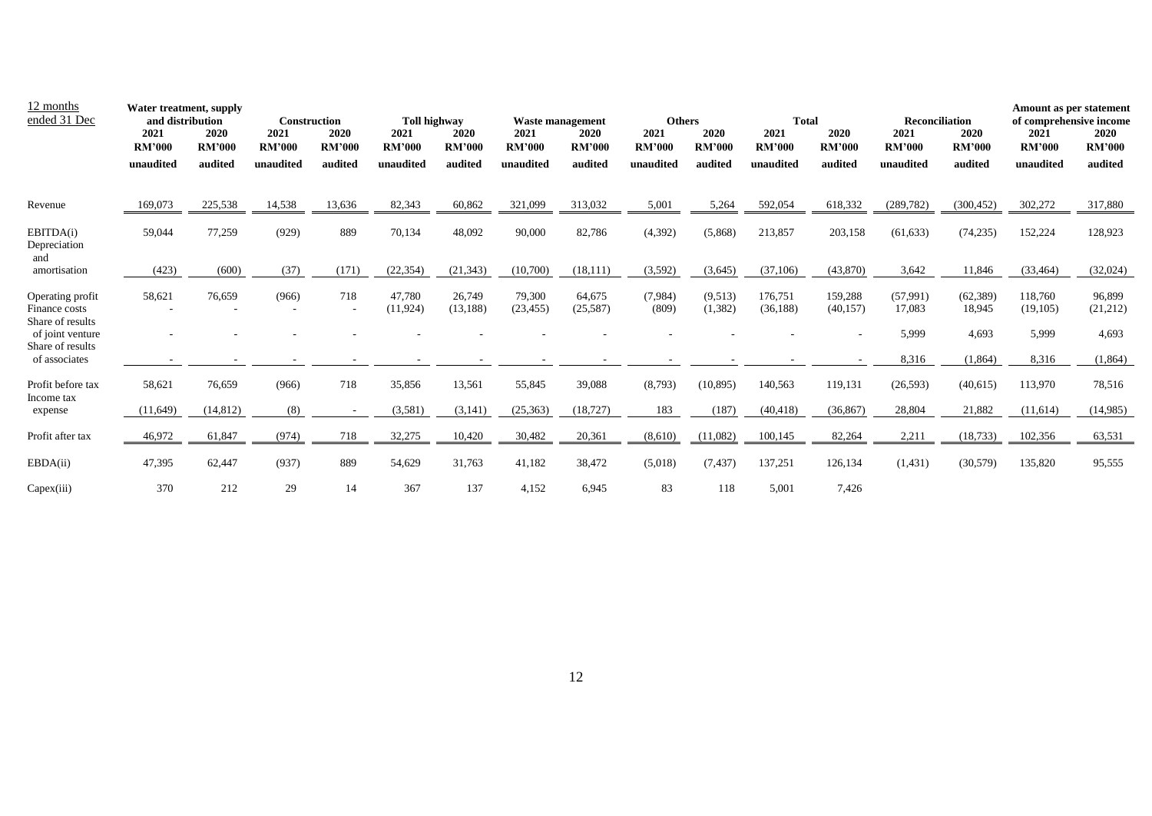| 12 months<br>ended 31 Dec                             | Water treatment, supply<br>and distribution<br>2021<br><b>RM'000</b><br>unaudited | 2020<br><b>RM'000</b><br>audited | <b>Construction</b><br>2021<br><b>RM'000</b><br>unaudited | 2020<br><b>RM'000</b><br>audited | <b>Toll highway</b><br>2021<br><b>RM'000</b><br>unaudited | 2020<br><b>RM'000</b><br>audited | <b>Waste management</b><br>2021<br><b>RM'000</b><br>unaudited | 2020<br><b>RM'000</b><br>audited | <b>Others</b><br>2021<br><b>RM'000</b><br>unaudited | 2020<br><b>RM'000</b><br>audited | <b>Total</b><br>2021<br><b>RM'000</b><br>unaudited | 2020<br><b>RM'000</b><br>audited | <b>Reconciliation</b><br>2021<br><b>RM'000</b><br>unaudited | 2020<br><b>RM'000</b><br>audited | Amount as per statement<br>of comprehensive income<br>2021<br><b>RM'000</b><br>unaudited | 2020<br><b>RM'000</b><br>audited |
|-------------------------------------------------------|-----------------------------------------------------------------------------------|----------------------------------|-----------------------------------------------------------|----------------------------------|-----------------------------------------------------------|----------------------------------|---------------------------------------------------------------|----------------------------------|-----------------------------------------------------|----------------------------------|----------------------------------------------------|----------------------------------|-------------------------------------------------------------|----------------------------------|------------------------------------------------------------------------------------------|----------------------------------|
| Revenue                                               | 169,073                                                                           | 225,538                          | 14,538                                                    | 13.636                           | 82,343                                                    | 60.862                           | 321,099                                                       | 313,032                          | 5,001                                               | 5,264                            | 592,054                                            | 618,332                          | (289, 782)                                                  | (300, 452)                       | 302,272                                                                                  | 317,880                          |
| EBITDA(i)<br>Depreciation<br>and                      | 59,044                                                                            | 77,259                           | (929)                                                     | 889                              | 70,134                                                    | 48,092                           | 90,000                                                        | 82,786                           | (4, 392)                                            | (5,868)                          | 213,857                                            | 203,158                          | (61, 633)                                                   | (74, 235)                        | 152,224                                                                                  | 128,923                          |
| amortisation                                          | (423)                                                                             | (600)                            | (37)                                                      | (171)                            | (22, 354)                                                 | (21, 343)                        | (10,700)                                                      | (18, 111)                        | (3,592)                                             | (3,645)                          | (37,106)                                           | (43,870)                         | 3,642                                                       | 11,846                           | (33, 464)                                                                                | (32,024)                         |
| Operating profit<br>Finance costs<br>Share of results | 58,621                                                                            | 76.659                           | (966)                                                     | 718                              | 47.780<br>(11, 924)                                       | 26,749<br>(13, 188)              | 79,300<br>(23, 455)                                           | 64,675<br>(25,587)               | (7,984)<br>(809)                                    | (9,513)<br>(1, 382)              | 176,751<br>(36, 188)                               | 159,288<br>(40, 157)             | (57,991)<br>17,083                                          | (62, 389)<br>18,945              | 118,760<br>(19,105)                                                                      | 96,899<br>(21,212)               |
| of joint venture<br>Share of results                  |                                                                                   |                                  |                                                           |                                  |                                                           |                                  |                                                               |                                  |                                                     |                                  |                                                    |                                  | 5,999                                                       | 4,693                            | 5,999                                                                                    | 4,693                            |
| of associates                                         |                                                                                   |                                  |                                                           |                                  | $\sim$                                                    | $\overline{\phantom{a}}$         | $\overline{\phantom{a}}$                                      |                                  |                                                     |                                  |                                                    |                                  | 8,316                                                       | (1,864)                          | 8,316                                                                                    | (1,864)                          |
| Profit before tax<br>Income tax                       | 58,621                                                                            | 76,659                           | (966)                                                     | 718                              | 35,856                                                    | 13,561                           | 55,845                                                        | 39,088                           | (8,793)                                             | (10, 895)                        | 140,563                                            | 119,131                          | (26, 593)                                                   | (40,615)                         | 113,970                                                                                  | 78,516                           |
| expense                                               | (11,649)                                                                          | (14, 812)                        | (8)                                                       |                                  | (3,581)                                                   | (3, 141)                         | (25, 363)                                                     | (18, 727)                        | 183                                                 | (187)                            | (40, 418)                                          | (36, 867)                        | 28,804                                                      | 21,882                           | (11,614)                                                                                 | (14,985)                         |
| Profit after tax                                      | 46,972                                                                            | 61,847                           | (974)                                                     | 718                              | 32,275                                                    | 10,420                           | 30,482                                                        | 20,361                           | (8,610)                                             | (11,082)                         | 100,145                                            | 82,264                           | 2,211                                                       | (18, 733)                        | 102,356                                                                                  | 63,531                           |
| EBDA(ii)                                              | 47,395                                                                            | 62,447                           | (937)                                                     | 889                              | 54,629                                                    | 31,763                           | 41,182                                                        | 38,472                           | (5,018)                                             | (7, 437)                         | 137,251                                            | 126,134                          | (1,431)                                                     | (30, 579)                        | 135,820                                                                                  | 95,555                           |
| Capex(iii)                                            | 370                                                                               | 212                              | 29                                                        | 14                               | 367                                                       | 137                              | 4,152                                                         | 6,945                            | 83                                                  | 118                              | 5,001                                              | 7,426                            |                                                             |                                  |                                                                                          |                                  |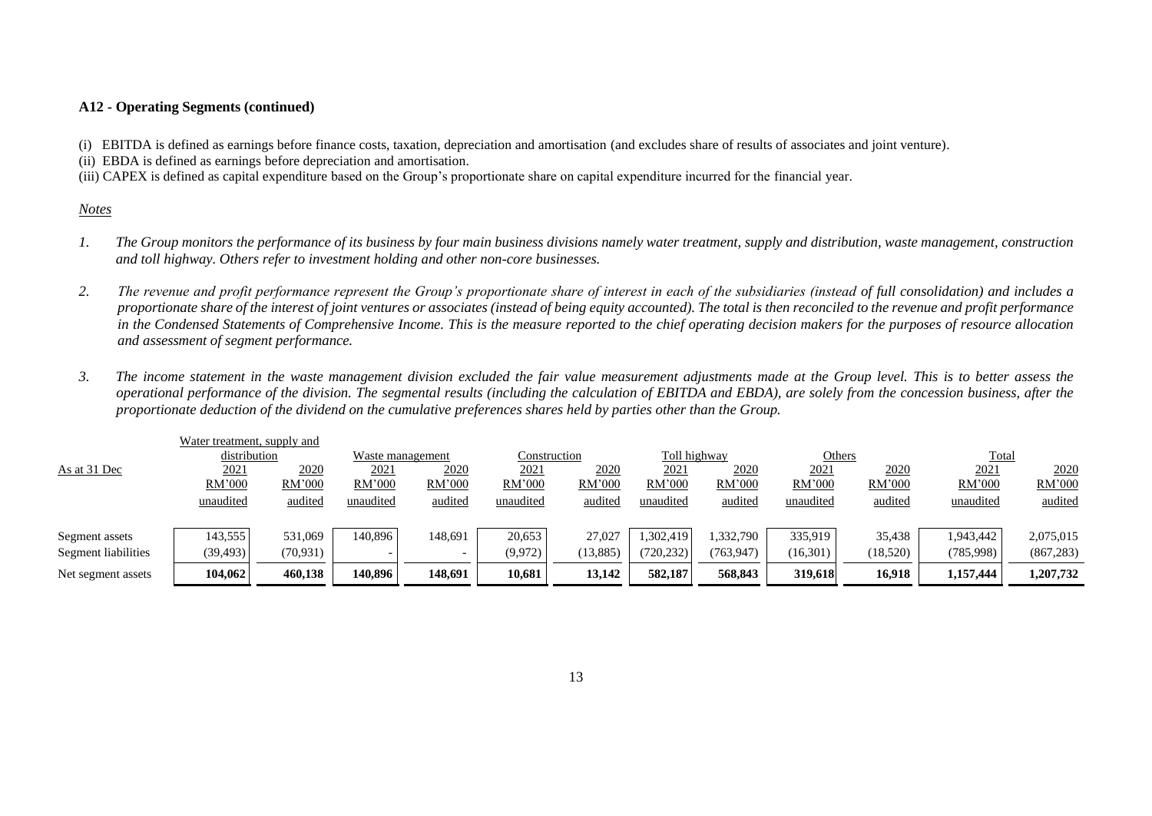### **A12 - Operating Segments (continued)**

(i) EBITDA is defined as earnings before finance costs, taxation, depreciation and amortisation (and excludes share of results of associates and joint venture).

(ii) EBDA is defined as earnings before depreciation and amortisation.

(iii) CAPEX is defined as capital expenditure based on the Group's proportionate share on capital expenditure incurred for the financial year.

### *Notes*

- *1.* The Group monitors the performance of its business by four main business divisions namely water treatment, supply and distribution, waste management, construction *and toll highway. Others refer to investment holding and other non-core businesses.*
- *2. The revenue and profit performance represent the Group's proportionate share of interest in each of the subsidiaries (instead of full consolidation) and includes a proportionate share of the interest of joint ventures or associates (instead of being equity accounted). The total is then reconciled to the revenue and profit performance in the Condensed Statements of Comprehensive Income. This is the measure reported to the chief operating decision makers for the purposes of resource allocation and assessment of segment performance.*
- *3. The income statement in the waste management division excluded the fair value measurement adjustments made at the Group level. This is to better assess the operational performance of the division. The segmental results (including the calculation of EBITDA and EBDA), are solely from the concession business, after the proportionate deduction of the dividend on the cumulative preferences shares held by parties other than the Group.*

|                     | Water treatment, supply and |           |                          |                  |               |              |             |              |           |          |           |            |
|---------------------|-----------------------------|-----------|--------------------------|------------------|---------------|--------------|-------------|--------------|-----------|----------|-----------|------------|
|                     | distribution                |           |                          | Waste management |               | Construction |             | Toll highway |           | Others   | Total     |            |
| As at 31 Dec        | 2021                        | 2020      | 2021                     | <u>2020</u>      | 2021          | <u>2020</u>  | <u>2021</u> | 2020         | 2021      | 2020     | 2021      | 2020       |
|                     | RM'000                      | RM'000    | RM'000                   | RM'000           | <b>RM'000</b> | RM'000       | RM'000      | RM'000       | RM'000    | RM'000   | RM'000    | RM'000     |
|                     | unaudited                   | audited   | unaudited                | audited          | unaudited     | audited      | unaudited   | audited      | unaudited | audited  | unaudited | audited    |
|                     |                             |           |                          |                  |               |              |             |              |           |          |           |            |
| Segment assets      | 143,555                     | 531,069   | 140.896                  | 148.691          | 20,653        | 27.027       | ,302,419    | 1,332,790    | 335,919   | 35,438   | 1,943,442 | 2,075,015  |
| Segment liabilities | (39, 493)                   | (70, 931) | $\overline{\phantom{0}}$ |                  | (9,972)       | (13, 885)    | (720, 232)  | (763,947)    | (16,301)  | (18,520) | (785,998) | (867, 283) |
| Net segment assets  | 104.062                     | 460,138   | 140.896                  | 148,691          | 10.681        | 13.142       | 582,187     | 568,843      | 319,618   | 16,918   | 1,157,444 | 1,207,732  |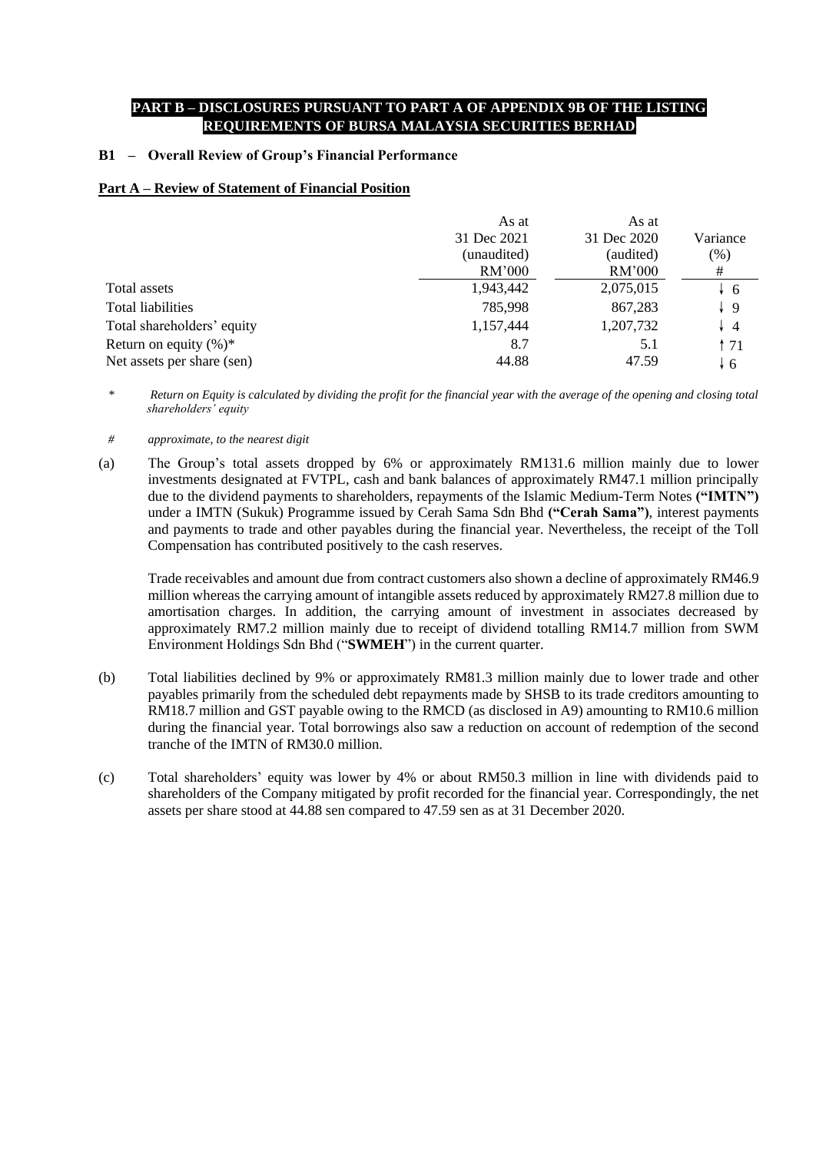### **PART B – DISCLOSURES PURSUANT TO PART A OF APPENDIX 9B OF THE LISTING REQUIREMENTS OF BURSA MALAYSIA SECURITIES BERHAD**

### **B1 – Overall Review of Group's Financial Performance**

### **Part A – Review of Statement of Financial Position**

|                            | As at       | As at       |                |
|----------------------------|-------------|-------------|----------------|
|                            | 31 Dec 2021 | 31 Dec 2020 | Variance       |
|                            | (unaudited) | (audited)   | (% )           |
|                            | RM'000      | RM'000      | #              |
| Total assets               | 1,943,442   | 2,075,015   | $\downarrow$ 6 |
| <b>Total liabilities</b>   | 785,998     | 867,283     | $\frac{1}{2}$  |
| Total shareholders' equity | 1,157,444   | 1,207,732   | $\overline{4}$ |
| Return on equity $(\%)^*$  | 8.7         | 5.1         | ↑71            |
| Net assets per share (sen) | 44.88       | 47.59       | ↓ 6            |

- *\* Return on Equity is calculated by dividing the profit for the financial year with the average of the opening and closing total shareholders' equity*
- *# approximate, to the nearest digit*
- (a) The Group's total assets dropped by 6% or approximately RM131.6 million mainly due to lower investments designated at FVTPL, cash and bank balances of approximately RM47.1 million principally due to the dividend payments to shareholders, repayments of the Islamic Medium-Term Notes **("IMTN")** under a IMTN (Sukuk) Programme issued by Cerah Sama Sdn Bhd **("Cerah Sama")**, interest payments and payments to trade and other payables during the financial year. Nevertheless, the receipt of the Toll Compensation has contributed positively to the cash reserves.

Trade receivables and amount due from contract customers also shown a decline of approximately RM46.9 million whereas the carrying amount of intangible assets reduced by approximately RM27.8 million due to amortisation charges. In addition, the carrying amount of investment in associates decreased by approximately RM7.2 million mainly due to receipt of dividend totalling RM14.7 million from SWM Environment Holdings Sdn Bhd ("**SWMEH**") in the current quarter.

- (b) Total liabilities declined by 9% or approximately RM81.3 million mainly due to lower trade and other payables primarily from the scheduled debt repayments made by SHSB to its trade creditors amounting to RM18.7 million and GST payable owing to the RMCD (as disclosed in A9) amounting to RM10.6 million during the financial year. Total borrowings also saw a reduction on account of redemption of the second tranche of the IMTN of RM30.0 million.
- (c) Total shareholders' equity was lower by 4% or about RM50.3 million in line with dividends paid to shareholders of the Company mitigated by profit recorded for the financial year. Correspondingly, the net assets per share stood at 44.88 sen compared to 47.59 sen as at 31 December 2020.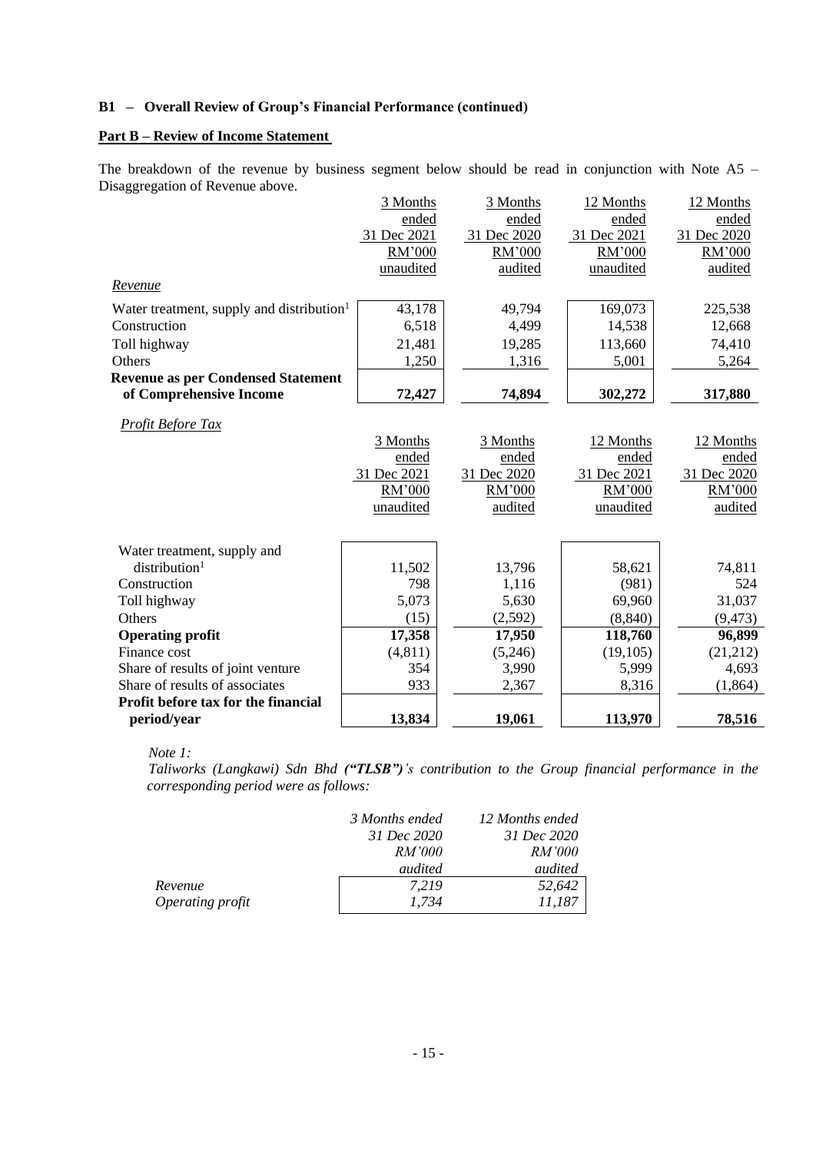### **Part B – Review of Income Statement**

The breakdown of the revenue by business segment below should be read in conjunction with Note A5 – Disaggregation of Revenue above.

| ended<br>ended<br>ended<br>31 Dec 2021<br>31 Dec 2020<br>31 Dec 2021<br>RM'000<br>RM'000<br>RM'000<br>unaudited<br>audited<br>unaudited<br>Revenue<br>43,178<br>169,073<br>Water treatment, supply and distribution <sup>1</sup><br>49,794<br>6,518<br>4,499<br>14,538<br>Construction<br>Toll highway<br>21,481<br>19,285<br>113,660<br>Others<br>1,250<br>1,316<br>5,001<br>of Comprehensive Income<br>72,427<br>74,894<br>302,272<br>Profit Before Tax<br>3 Months<br>3 Months<br>12 Months<br>ended<br>ended | ended<br>31 Dec 2020<br>RM'000<br>audited |
|------------------------------------------------------------------------------------------------------------------------------------------------------------------------------------------------------------------------------------------------------------------------------------------------------------------------------------------------------------------------------------------------------------------------------------------------------------------------------------------------------------------|-------------------------------------------|
| <b>Revenue as per Condensed Statement</b>                                                                                                                                                                                                                                                                                                                                                                                                                                                                        |                                           |
|                                                                                                                                                                                                                                                                                                                                                                                                                                                                                                                  |                                           |
|                                                                                                                                                                                                                                                                                                                                                                                                                                                                                                                  |                                           |
|                                                                                                                                                                                                                                                                                                                                                                                                                                                                                                                  |                                           |
|                                                                                                                                                                                                                                                                                                                                                                                                                                                                                                                  |                                           |
|                                                                                                                                                                                                                                                                                                                                                                                                                                                                                                                  | 225,538                                   |
|                                                                                                                                                                                                                                                                                                                                                                                                                                                                                                                  | 12,668                                    |
|                                                                                                                                                                                                                                                                                                                                                                                                                                                                                                                  | 74,410                                    |
|                                                                                                                                                                                                                                                                                                                                                                                                                                                                                                                  | 5,264                                     |
|                                                                                                                                                                                                                                                                                                                                                                                                                                                                                                                  |                                           |
|                                                                                                                                                                                                                                                                                                                                                                                                                                                                                                                  | 317,880                                   |
|                                                                                                                                                                                                                                                                                                                                                                                                                                                                                                                  |                                           |
|                                                                                                                                                                                                                                                                                                                                                                                                                                                                                                                  | 12 Months                                 |
| ended                                                                                                                                                                                                                                                                                                                                                                                                                                                                                                            | ended                                     |
| 31 Dec 2021<br>31 Dec 2020<br>31 Dec 2021                                                                                                                                                                                                                                                                                                                                                                                                                                                                        | 31 Dec 2020                               |
| RM'000<br>RM'000<br>RM'000                                                                                                                                                                                                                                                                                                                                                                                                                                                                                       | RM'000                                    |
| unaudited<br>audited<br>unaudited                                                                                                                                                                                                                                                                                                                                                                                                                                                                                | audited                                   |
|                                                                                                                                                                                                                                                                                                                                                                                                                                                                                                                  |                                           |
| Water treatment, supply and                                                                                                                                                                                                                                                                                                                                                                                                                                                                                      |                                           |
| $distri$ bution <sup>1</sup><br>11,502<br>13,796<br>58,621                                                                                                                                                                                                                                                                                                                                                                                                                                                       | 74,811                                    |
| 798<br>Construction<br>1,116<br>(981)                                                                                                                                                                                                                                                                                                                                                                                                                                                                            | 524                                       |
| 5,073<br>5,630<br>69,960<br>Toll highway                                                                                                                                                                                                                                                                                                                                                                                                                                                                         | 31,037                                    |
| (2,592)<br>Others<br>(15)<br>(8, 840)                                                                                                                                                                                                                                                                                                                                                                                                                                                                            | (9, 473)                                  |
| 17,358<br><b>Operating profit</b><br>118,760<br>17,950                                                                                                                                                                                                                                                                                                                                                                                                                                                           | 96,899                                    |
| (4, 811)<br>(19, 105)<br>Finance cost<br>(5,246)                                                                                                                                                                                                                                                                                                                                                                                                                                                                 | (21, 212)                                 |
| Share of results of joint venture<br>354<br>3,990<br>5,999                                                                                                                                                                                                                                                                                                                                                                                                                                                       | 4,693                                     |
| Share of results of associates<br>933<br>2,367<br>8,316                                                                                                                                                                                                                                                                                                                                                                                                                                                          | (1,864)                                   |
| Profit before tax for the financial                                                                                                                                                                                                                                                                                                                                                                                                                                                                              |                                           |
| period/year<br>13,834<br>19,061<br>113,970                                                                                                                                                                                                                                                                                                                                                                                                                                                                       | 78,516                                    |

 *Note 1:*

 *Taliworks (Langkawi) Sdn Bhd ("TLSB")'s contribution to the Group financial performance in the corresponding period were as follows:*

|                  | 3 Months ended | 12 Months ended |
|------------------|----------------|-----------------|
|                  | 31 Dec 2020    | 31 Dec 2020     |
|                  | <i>RM'000</i>  | <i>RM'000</i>   |
|                  | audited        | audited         |
| Revenue          | 7.219          | 52,642          |
| Operating profit | 1.734          | 11,187          |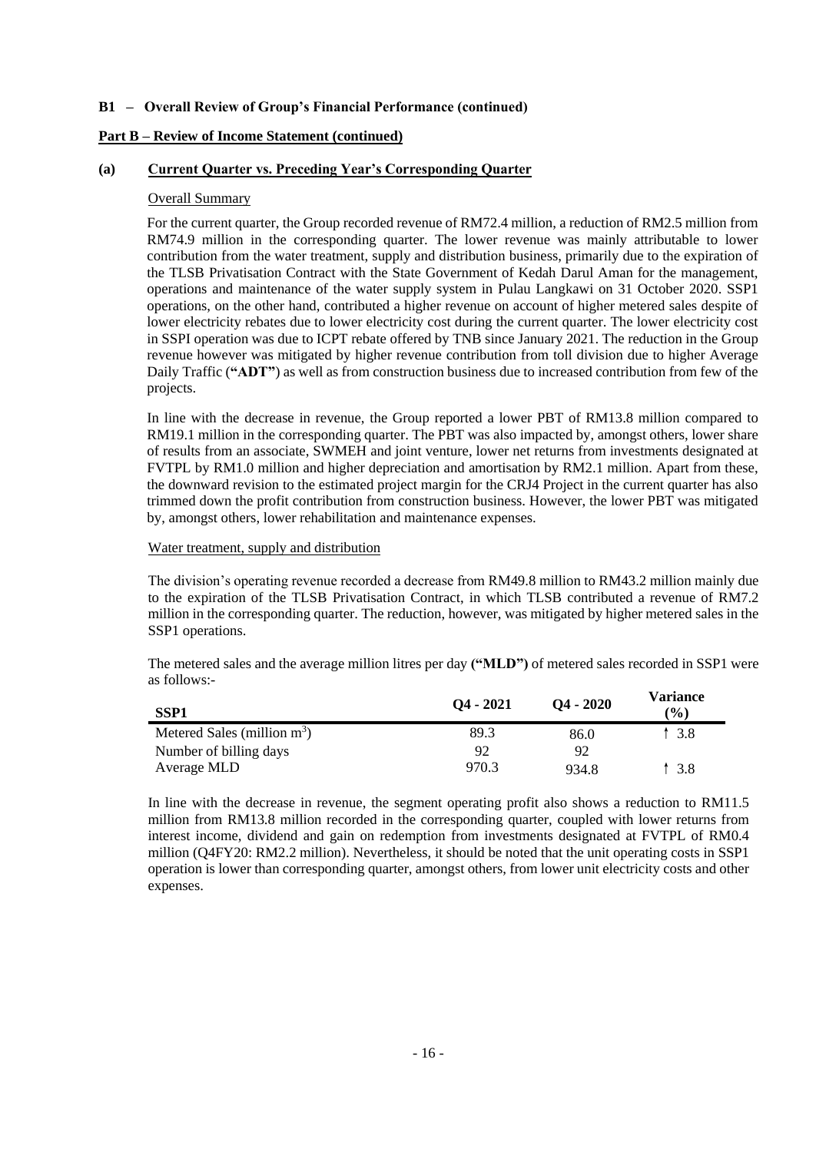### **Part B – Review of Income Statement (continued)**

### **(a) Current Quarter vs. Preceding Year's Corresponding Quarter**

### Overall Summary

For the current quarter, the Group recorded revenue of RM72.4 million, a reduction of RM2.5 million from RM74.9 million in the corresponding quarter. The lower revenue was mainly attributable to lower contribution from the water treatment, supply and distribution business, primarily due to the expiration of the TLSB Privatisation Contract with the State Government of Kedah Darul Aman for the management, operations and maintenance of the water supply system in Pulau Langkawi on 31 October 2020. SSP1 operations, on the other hand, contributed a higher revenue on account of higher metered sales despite of lower electricity rebates due to lower electricity cost during the current quarter. The lower electricity cost in SSPI operation was due to ICPT rebate offered by TNB since January 2021. The reduction in the Group revenue however was mitigated by higher revenue contribution from toll division due to higher Average Daily Traffic (**"ADT"**) as well as from construction business due to increased contribution from few of the projects.

In line with the decrease in revenue, the Group reported a lower PBT of RM13.8 million compared to RM19.1 million in the corresponding quarter. The PBT was also impacted by, amongst others, lower share of results from an associate, SWMEH and joint venture, lower net returns from investments designated at FVTPL by RM1.0 million and higher depreciation and amortisation by RM2.1 million. Apart from these, the downward revision to the estimated project margin for the CRJ4 Project in the current quarter has also trimmed down the profit contribution from construction business. However, the lower PBT was mitigated by, amongst others, lower rehabilitation and maintenance expenses.

### Water treatment, supply and distribution

The division's operating revenue recorded a decrease from RM49.8 million to RM43.2 million mainly due to the expiration of the TLSB Privatisation Contract, in which TLSB contributed a revenue of RM7.2 million in the corresponding quarter. The reduction, however, was mitigated by higher metered sales in the SSP1 operations.

The metered sales and the average million litres per day **("MLD")** of metered sales recorded in SSP1 were as follows:-

| SSP <sub>1</sub>               | $Q_4 - 2021$ | $O4 - 2020$ | Variance<br>$\frac{9}{6}$ |
|--------------------------------|--------------|-------------|---------------------------|
| Metered Sales (million $m^3$ ) | 89.3         | 86.0        | 3.8                       |
| Number of billing days         | 92           | 92          |                           |
| Average MLD                    | 970.3        | 934.8       | 3.8                       |

In line with the decrease in revenue, the segment operating profit also shows a reduction to RM11.5 million from RM13.8 million recorded in the corresponding quarter, coupled with lower returns from interest income, dividend and gain on redemption from investments designated at FVTPL of RM0.4 million (Q4FY20: RM2.2 million). Nevertheless, it should be noted that the unit operating costs in SSP1 operation is lower than corresponding quarter, amongst others, from lower unit electricity costs and other expenses.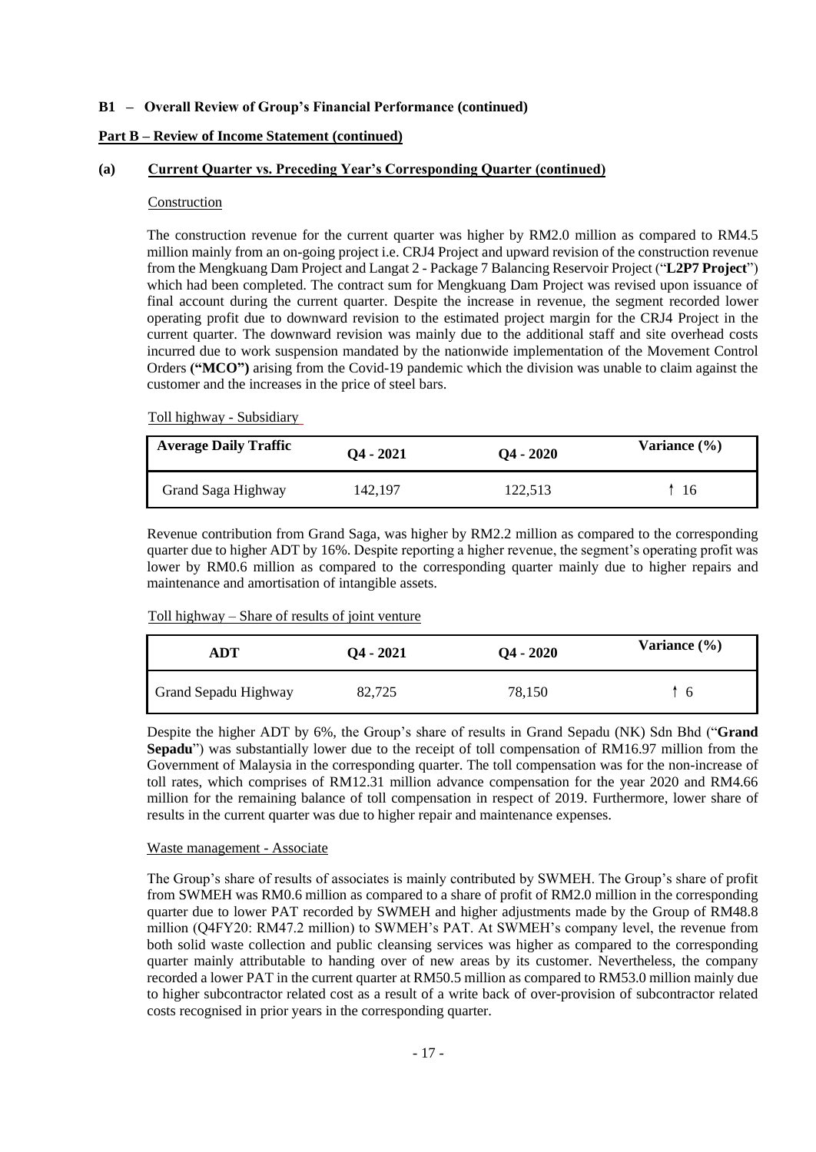### **Part B – Review of Income Statement (continued)**

### **(a) Current Quarter vs. Preceding Year's Corresponding Quarter (continued)**

### Construction

The construction revenue for the current quarter was higher by RM2.0 million as compared to RM4.5 million mainly from an on-going project i.e. CRJ4 Project and upward revision of the construction revenue from the Mengkuang Dam Project and Langat 2 - Package 7 Balancing Reservoir Project ("**L2P7 Project**") which had been completed. The contract sum for Mengkuang Dam Project was revised upon issuance of final account during the current quarter. Despite the increase in revenue, the segment recorded lower operating profit due to downward revision to the estimated project margin for the CRJ4 Project in the current quarter. The downward revision was mainly due to the additional staff and site overhead costs incurred due to work suspension mandated by the nationwide implementation of the Movement Control Orders **("MCO")** arising from the Covid-19 pandemic which the division was unable to claim against the customer and the increases in the price of steel bars.

Toll highway - Subsidiary

| <b>Average Daily Traffic</b> | $Q_4 - 2021$ | $Q_4 - 2020$ | Variance $(\% )$ |
|------------------------------|--------------|--------------|------------------|
| Grand Saga Highway           | 142,197      | 122,513      | 16               |

Revenue contribution from Grand Saga, was higher by RM2.2 million as compared to the corresponding quarter due to higher ADT by 16%. Despite reporting a higher revenue, the segment's operating profit was lower by RM0.6 million as compared to the corresponding quarter mainly due to higher repairs and maintenance and amortisation of intangible assets.

# **ADT Q4 - <sup>2021</sup> Q4 - <sup>2020</sup> Variance (%)** Grand Sepadu Highway 82,725 78,150 ↑ 6

Toll highway – Share of results of joint venture

Despite the higher ADT by 6%, the Group's share of results in Grand Sepadu (NK) Sdn Bhd ("**Grand Sepadu**") was substantially lower due to the receipt of toll compensation of RM16.97 million from the Government of Malaysia in the corresponding quarter. The toll compensation was for the non-increase of toll rates, which comprises of RM12.31 million advance compensation for the year 2020 and RM4.66 million for the remaining balance of toll compensation in respect of 2019. Furthermore, lower share of results in the current quarter was due to higher repair and maintenance expenses.

### Waste management - Associate

The Group's share of results of associates is mainly contributed by SWMEH. The Group's share of profit from SWMEH was RM0.6 million as compared to a share of profit of RM2.0 million in the corresponding quarter due to lower PAT recorded by SWMEH and higher adjustments made by the Group of RM48.8 million (Q4FY20: RM47.2 million) to SWMEH's PAT. At SWMEH's company level, the revenue from both solid waste collection and public cleansing services was higher as compared to the corresponding quarter mainly attributable to handing over of new areas by its customer. Nevertheless, the company recorded a lower PAT in the current quarter at RM50.5 million as compared to RM53.0 million mainly due to higher subcontractor related cost as a result of a write back of over-provision of subcontractor related costs recognised in prior years in the corresponding quarter.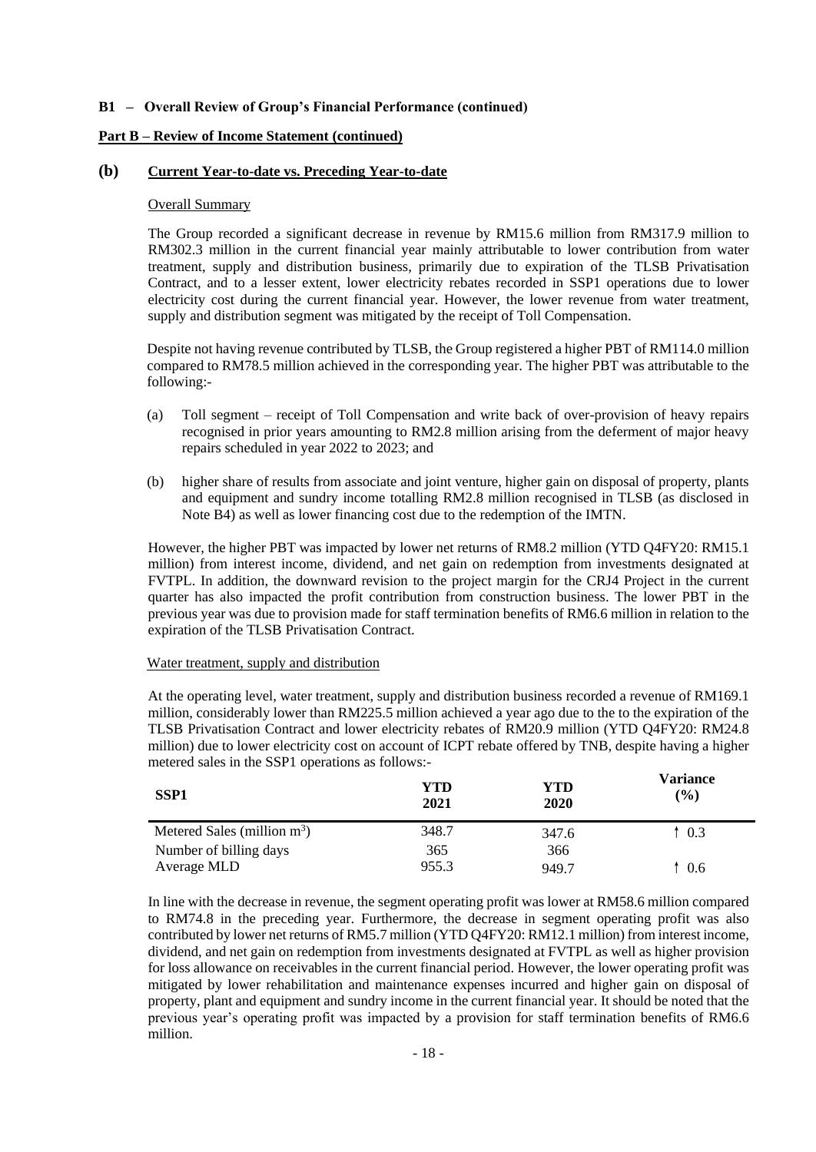### **Part B – Review of Income Statement (continued)**

### **(b) Current Year-to-date vs. Preceding Year-to-date**

### Overall Summary

The Group recorded a significant decrease in revenue by RM15.6 million from RM317.9 million to RM302.3 million in the current financial year mainly attributable to lower contribution from water treatment, supply and distribution business, primarily due to expiration of the TLSB Privatisation Contract, and to a lesser extent, lower electricity rebates recorded in SSP1 operations due to lower electricity cost during the current financial year. However, the lower revenue from water treatment, supply and distribution segment was mitigated by the receipt of Toll Compensation.

Despite not having revenue contributed by TLSB, the Group registered a higher PBT of RM114.0 million compared to RM78.5 million achieved in the corresponding year. The higher PBT was attributable to the following:-

- (a) Toll segment receipt of Toll Compensation and write back of over-provision of heavy repairs recognised in prior years amounting to RM2.8 million arising from the deferment of major heavy repairs scheduled in year 2022 to 2023; and
- (b) higher share of results from associate and joint venture, higher gain on disposal of property, plants and equipment and sundry income totalling RM2.8 million recognised in TLSB (as disclosed in Note B4) as well as lower financing cost due to the redemption of the IMTN.

However, the higher PBT was impacted by lower net returns of RM8.2 million (YTD Q4FY20: RM15.1 million) from interest income, dividend, and net gain on redemption from investments designated at FVTPL. In addition, the downward revision to the project margin for the CRJ4 Project in the current quarter has also impacted the profit contribution from construction business. The lower PBT in the previous year was due to provision made for staff termination benefits of RM6.6 million in relation to the expiration of the TLSB Privatisation Contract.

### Water treatment, supply and distribution

At the operating level, water treatment, supply and distribution business recorded a revenue of RM169.1 million, considerably lower than RM225.5 million achieved a year ago due to the to the expiration of the TLSB Privatisation Contract and lower electricity rebates of RM20.9 million (YTD Q4FY20: RM24.8 million) due to lower electricity cost on account of ICPT rebate offered by TNB, despite having a higher metered sales in the SSP1 operations as follows:-  $\overline{\phantom{a}}$ 

| <b>SSP1</b>                    | YTD<br>2021 | YTD<br>2020 | <b>Variance</b><br>$(\%)$ |
|--------------------------------|-------------|-------------|---------------------------|
| Metered Sales (million $m^3$ ) | 348.7       | 347.6       | 0.3                       |
| Number of billing days         | 365         | 366         |                           |
| Average MLD                    | 955.3       | 949.7       | 0.6                       |

In line with the decrease in revenue, the segment operating profit was lower at RM58.6 million compared to RM74.8 in the preceding year. Furthermore, the decrease in segment operating profit was also contributed by lower net returns of RM5.7 million (YTD Q4FY20: RM12.1 million) from interest income, dividend, and net gain on redemption from investments designated at FVTPL as well as higher provision for loss allowance on receivables in the current financial period. However, the lower operating profit was mitigated by lower rehabilitation and maintenance expenses incurred and higher gain on disposal of property, plant and equipment and sundry income in the current financial year. It should be noted that the previous year's operating profit was impacted by a provision for staff termination benefits of RM6.6 million.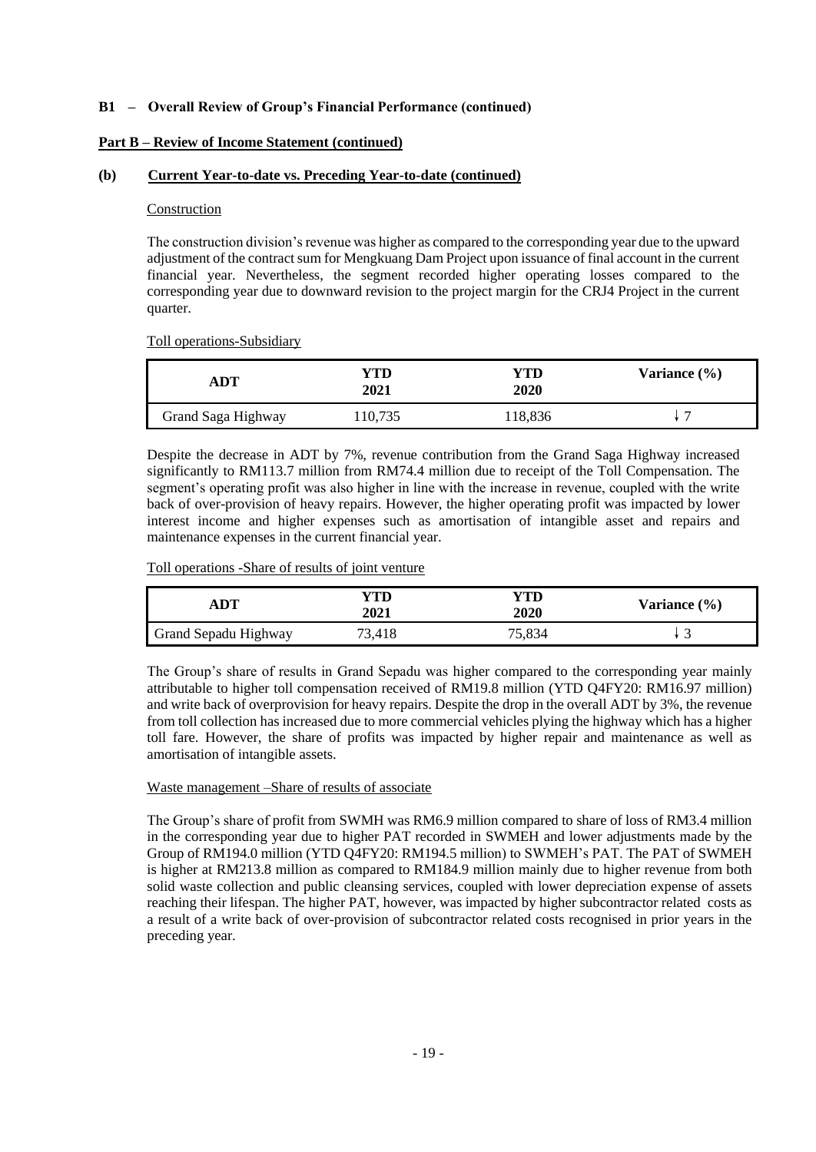### **Part B – Review of Income Statement (continued)**

### **(b) Current Year-to-date vs. Preceding Year-to-date (continued)**

### Construction

The construction division's revenue was higher as compared to the corresponding year due to the upward adjustment of the contract sum for Mengkuang Dam Project upon issuance of final account in the current financial year. Nevertheless, the segment recorded higher operating losses compared to the corresponding year due to downward revision to the project margin for the CRJ4 Project in the current quarter.

Toll operations-Subsidiary

| ADT                | YTD<br>2021 | YTD<br>2020 | Variance $(\% )$ |
|--------------------|-------------|-------------|------------------|
| Grand Saga Highway | 10,735      | 118,836     |                  |

Despite the decrease in ADT by 7%, revenue contribution from the Grand Saga Highway increased significantly to RM113.7 million from RM74.4 million due to receipt of the Toll Compensation. The segment's operating profit was also higher in line with the increase in revenue, coupled with the write back of over-provision of heavy repairs. However, the higher operating profit was impacted by lower interest income and higher expenses such as amortisation of intangible asset and repairs and maintenance expenses in the current financial year.

Toll operations -Share of results of joint venture

| ADT                  | 7TD.<br>2021 | <b>2020</b> | Variance $(\% )$ |
|----------------------|--------------|-------------|------------------|
| Grand Sepadu Highway | 73,418       | 75,834      | ັ                |

The Group's share of results in Grand Sepadu was higher compared to the corresponding year mainly attributable to higher toll compensation received of RM19.8 million (YTD Q4FY20: RM16.97 million) and write back of overprovision for heavy repairs. Despite the drop in the overall ADT by 3%, the revenue from toll collection has increased due to more commercial vehicles plying the highway which has a higher toll fare. However, the share of profits was impacted by higher repair and maintenance as well as amortisation of intangible assets.

### Waste management –Share of results of associate

The Group's share of profit from SWMH was RM6.9 million compared to share of loss of RM3.4 million in the corresponding year due to higher PAT recorded in SWMEH and lower adjustments made by the Group of RM194.0 million (YTD Q4FY20: RM194.5 million) to SWMEH's PAT. The PAT of SWMEH is higher at RM213.8 million as compared to RM184.9 million mainly due to higher revenue from both solid waste collection and public cleansing services, coupled with lower depreciation expense of assets reaching their lifespan. The higher PAT, however, was impacted by higher subcontractor related costs as a result of a write back of over-provision of subcontractor related costs recognised in prior years in the preceding year.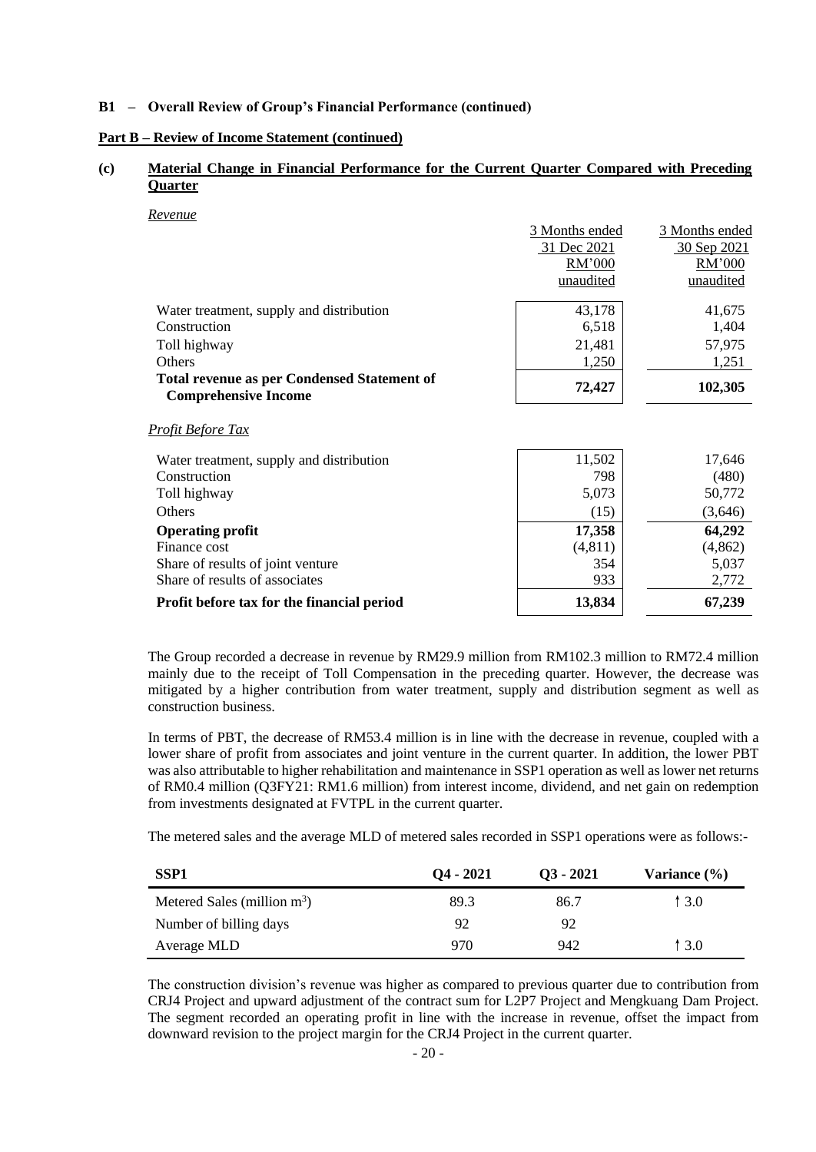### **Part B – Review of Income Statement (continued)**

### **(c) Material Change in Financial Performance for the Current Quarter Compared with Preceding Quarter**

*Revenue*

|                                                                                   | 3 Months ended | 3 Months ended |
|-----------------------------------------------------------------------------------|----------------|----------------|
|                                                                                   | 31 Dec 2021    | 30 Sep 2021    |
|                                                                                   | RM'000         | RM'000         |
|                                                                                   | unaudited      | unaudited      |
| Water treatment, supply and distribution                                          | 43,178         | 41,675         |
| Construction                                                                      | 6,518          | 1,404          |
| Toll highway                                                                      | 21,481         | 57,975         |
| Others                                                                            | 1,250          | 1,251          |
| <b>Total revenue as per Condensed Statement of</b><br><b>Comprehensive Income</b> | 72,427         | 102,305        |
| <u>Profit Before Tax</u>                                                          |                |                |
| Water treatment, supply and distribution                                          | 11,502         | 17,646         |
| Construction                                                                      | 798            | (480)          |
| Toll highway                                                                      | 5,073          | 50,772         |
| Others                                                                            | (15)           | (3,646)        |
| <b>Operating profit</b>                                                           | 17,358         | 64,292         |
| Finance cost                                                                      | (4, 811)       | (4,862)        |
| Share of results of joint venture                                                 | 354            | 5,037          |
| Share of results of associates                                                    | 933            | 2,772          |

### **Profit before tax for the financial period 13,834 13,834 13,834** 67,239

The Group recorded a decrease in revenue by RM29.9 million from RM102.3 million to RM72.4 million mainly due to the receipt of Toll Compensation in the preceding quarter. However, the decrease was mitigated by a higher contribution from water treatment, supply and distribution segment as well as construction business.

In terms of PBT, the decrease of RM53.4 million is in line with the decrease in revenue, coupled with a lower share of profit from associates and joint venture in the current quarter. In addition, the lower PBT was also attributable to higher rehabilitation and maintenance in SSP1 operation as well as lower net returns of RM0.4 million (Q3FY21: RM1.6 million) from interest income, dividend, and net gain on redemption from investments designated at FVTPL in the current quarter.

The metered sales and the average MLD of metered sales recorded in SSP1 operations were as follows:-

| SSP <sub>1</sub>               | $Q_4 - 2021$ | $Q3 - 2021$ | Variance $(\% )$ |
|--------------------------------|--------------|-------------|------------------|
| Metered Sales (million $m^3$ ) | 89.3         | 86.7        | 1 3.0            |
| Number of billing days         | 92           | 92          |                  |
| Average MLD                    | 970          | 942         | 13.0             |

The construction division's revenue was higher as compared to previous quarter due to contribution from CRJ4 Project and upward adjustment of the contract sum for L2P7 Project and Mengkuang Dam Project. The segment recorded an operating profit in line with the increase in revenue, offset the impact from downward revision to the project margin for the CRJ4 Project in the current quarter.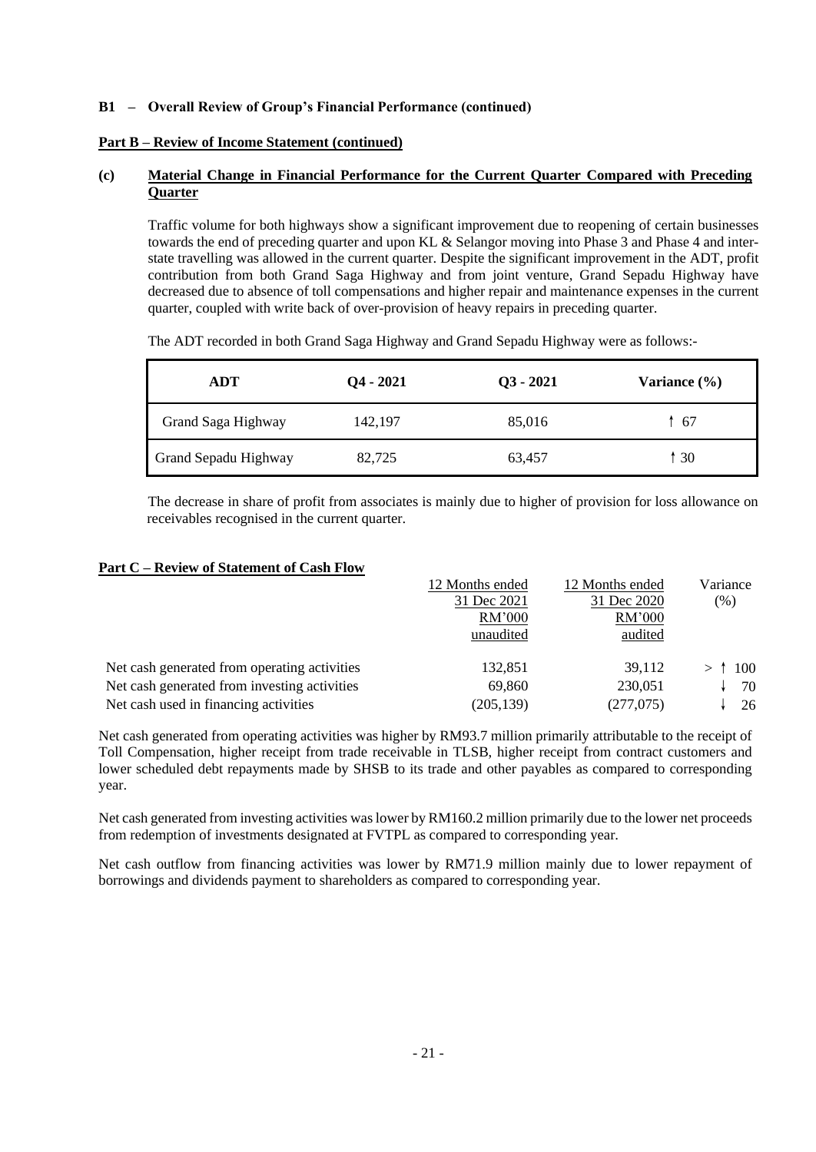### **Part B – Review of Income Statement (continued)**

### **(c) Material Change in Financial Performance for the Current Quarter Compared with Preceding Quarter**

Traffic volume for both highways show a significant improvement due to reopening of certain businesses towards the end of preceding quarter and upon KL & Selangor moving into Phase 3 and Phase 4 and interstate travelling was allowed in the current quarter. Despite the significant improvement in the ADT, profit contribution from both Grand Saga Highway and from joint venture, Grand Sepadu Highway have decreased due to absence of toll compensations and higher repair and maintenance expenses in the current quarter, coupled with write back of over-provision of heavy repairs in preceding quarter.

| ADT                  | $Q_4 - 2021$ | $Q3 - 2021$ | Variance (%) |
|----------------------|--------------|-------------|--------------|
| Grand Saga Highway   | 142,197      | 85,016      | ↑ 67         |
| Grand Sepadu Highway | 82,725       | 63,457      | 1 30         |

The ADT recorded in both Grand Saga Highway and Grand Sepadu Highway were as follows:-

The decrease in share of profit from associates is mainly due to higher of provision for loss allowance on receivables recognised in the current quarter.

### **Part C – Review of Statement of Cash Flow**

|                                              | 12 Months ended | 12 Months ended | Variance |
|----------------------------------------------|-----------------|-----------------|----------|
|                                              | 31 Dec 2021     | 31 Dec 2020     | (% )     |
|                                              | RM'000          | RM'000          |          |
|                                              | unaudited       | audited         |          |
| Net cash generated from operating activities | 132,851         | 39.112          | $>$ 100  |
| Net cash generated from investing activities | 69,860          | 230,051         | 70       |
| Net cash used in financing activities        | (205, 139)      | (277,075)       | 26       |

Net cash generated from operating activities was higher by RM93.7 million primarily attributable to the receipt of Toll Compensation, higher receipt from trade receivable in TLSB, higher receipt from contract customers and lower scheduled debt repayments made by SHSB to its trade and other payables as compared to corresponding year.

Net cash generated from investing activities was lower by RM160.2 million primarily due to the lower net proceeds from redemption of investments designated at FVTPL as compared to corresponding year.

Net cash outflow from financing activities was lower by RM71.9 million mainly due to lower repayment of borrowings and dividends payment to shareholders as compared to corresponding year.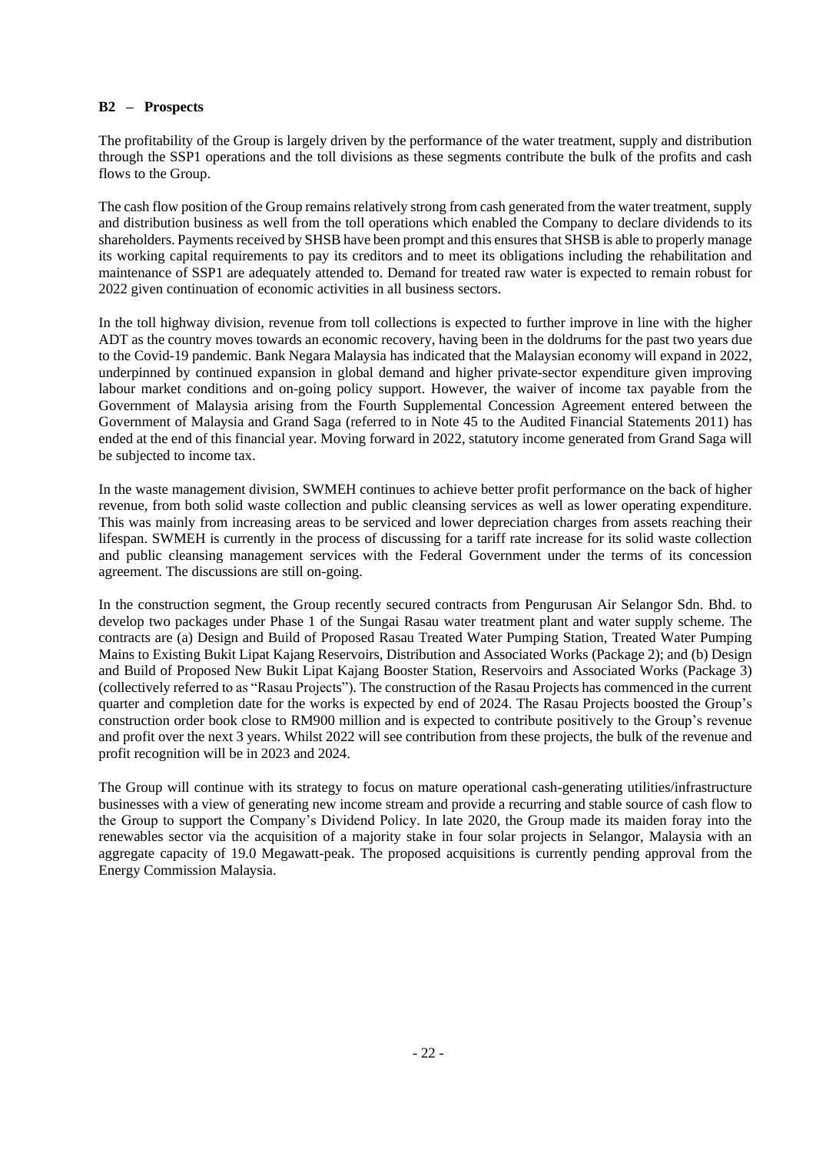### **B2 – Prospects**

The profitability of the Group is largely driven by the performance of the water treatment, supply and distribution through the SSP1 operations and the toll divisions as these segments contribute the bulk of the profits and cash flows to the Group.

The cash flow position of the Group remains relatively strong from cash generated from the water treatment, supply and distribution business as well from the toll operations which enabled the Company to declare dividends to its shareholders. Payments received by SHSB have been prompt and this ensures that SHSB is able to properly manage its working capital requirements to pay its creditors and to meet its obligations including the rehabilitation and maintenance of SSP1 are adequately attended to. Demand for treated raw water is expected to remain robust for 2022 given continuation of economic activities in all business sectors.

In the toll highway division, revenue from toll collections is expected to further improve in line with the higher ADT as the country moves towards an economic recovery, having been in the doldrums for the past two years due to the Covid-19 pandemic. Bank Negara Malaysia has indicated that the Malaysian economy will expand in 2022, underpinned by continued expansion in global demand and higher private-sector expenditure given improving labour market conditions and on-going policy support. However, the waiver of income tax payable from the Government of Malaysia arising from the Fourth Supplemental Concession Agreement entered between the Government of Malaysia and Grand Saga (referred to in Note 45 to the Audited Financial Statements 2011) has ended at the end of this financial year. Moving forward in 2022, statutory income generated from Grand Saga will be subjected to income tax.

In the waste management division, SWMEH continues to achieve better profit performance on the back of higher revenue, from both solid waste collection and public cleansing services as well as lower operating expenditure. This was mainly from increasing areas to be serviced and lower depreciation charges from assets reaching their lifespan. SWMEH is currently in the process of discussing for a tariff rate increase for its solid waste collection and public cleansing management services with the Federal Government under the terms of its concession agreement. The discussions are still on-going.

In the construction segment, the Group recently secured contracts from Pengurusan Air Selangor Sdn. Bhd. to develop two packages under Phase 1 of the Sungai Rasau water treatment plant and water supply scheme. The contracts are (a) Design and Build of Proposed Rasau Treated Water Pumping Station, Treated Water Pumping Mains to Existing Bukit Lipat Kajang Reservoirs, Distribution and Associated Works (Package 2); and (b) Design and Build of Proposed New Bukit Lipat Kajang Booster Station, Reservoirs and Associated Works (Package 3) (collectively referred to as "Rasau Projects"). The construction of the Rasau Projects has commenced in the current quarter and completion date for the works is expected by end of 2024. The Rasau Projects boosted the Group's construction order book close to RM900 million and is expected to contribute positively to the Group's revenue and profit over the next 3 years. Whilst 2022 will see contribution from these projects, the bulk of the revenue and profit recognition will be in 2023 and 2024.

The Group will continue with its strategy to focus on mature operational cash-generating utilities/infrastructure businesses with a view of generating new income stream and provide a recurring and stable source of cash flow to the Group to support the Company's Dividend Policy. In late 2020, the Group made its maiden foray into the renewables sector via the acquisition of a majority stake in four solar projects in Selangor, Malaysia with an aggregate capacity of 19.0 Megawatt-peak. The proposed acquisitions is currently pending approval from the Energy Commission Malaysia.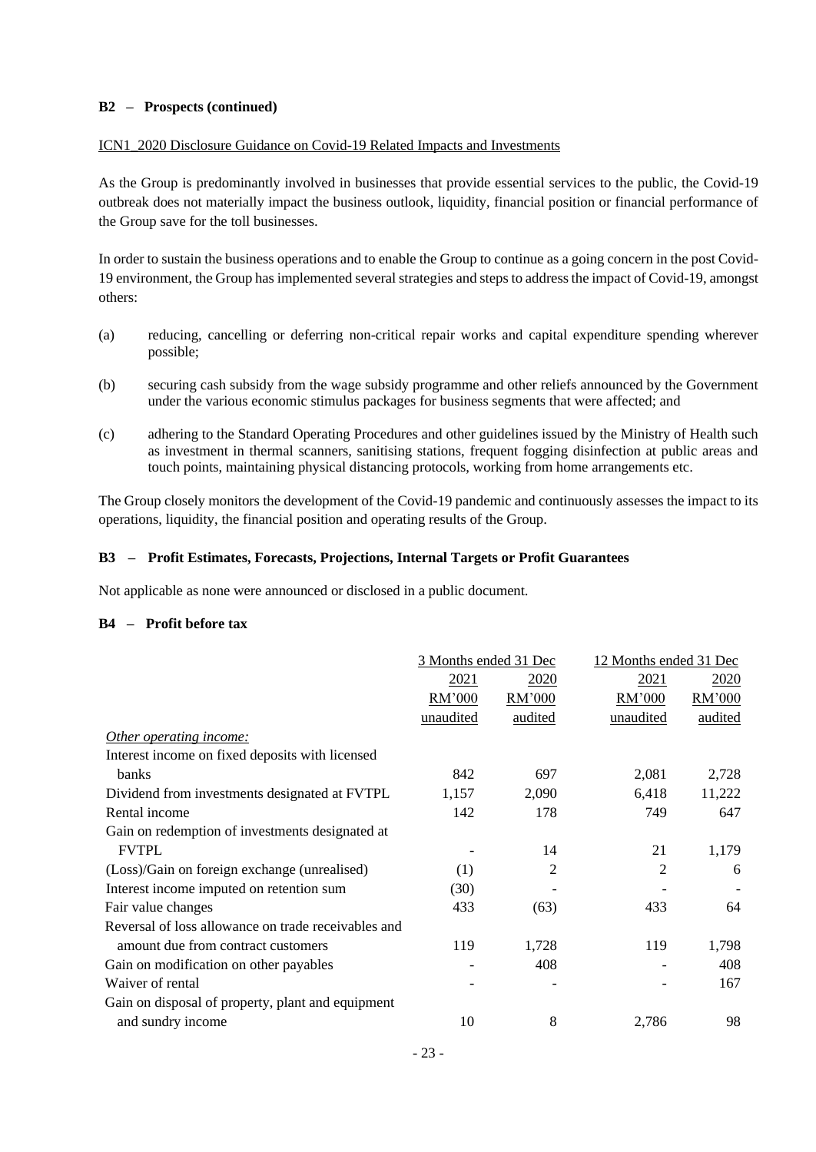### **B2 – Prospects (continued)**

### ICN1\_2020 Disclosure Guidance on Covid-19 Related Impacts and Investments

As the Group is predominantly involved in businesses that provide essential services to the public, the Covid-19 outbreak does not materially impact the business outlook, liquidity, financial position or financial performance of the Group save for the toll businesses.

In order to sustain the business operations and to enable the Group to continue as a going concern in the post Covid-19 environment, the Group has implemented several strategies and steps to address the impact of Covid-19, amongst others:

- (a) reducing, cancelling or deferring non-critical repair works and capital expenditure spending wherever possible;
- (b) securing cash subsidy from the wage subsidy programme and other reliefs announced by the Government under the various economic stimulus packages for business segments that were affected; and
- (c) adhering to the Standard Operating Procedures and other guidelines issued by the Ministry of Health such as investment in thermal scanners, sanitising stations, frequent fogging disinfection at public areas and touch points, maintaining physical distancing protocols, working from home arrangements etc.

The Group closely monitors the development of the Covid-19 pandemic and continuously assesses the impact to its operations, liquidity, the financial position and operating results of the Group.

### **B3 – Profit Estimates, Forecasts, Projections, Internal Targets or Profit Guarantees**

Not applicable as none were announced or disclosed in a public document.

### **B4 – Profit before tax**

| 3 Months ended 31 Dec |                | 12 Months ended 31 Dec |         |
|-----------------------|----------------|------------------------|---------|
| 2021                  | <u>2020</u>    | 2021                   | 2020    |
| RM'000                | RM'000         | RM'000                 | RM'000  |
| unaudited             | audited        | unaudited              | audited |
|                       |                |                        |         |
|                       |                |                        |         |
| 842                   | 697            | 2,081                  | 2,728   |
| 1,157                 | 2,090          | 6,418                  | 11,222  |
| 142                   | 178            | 749                    | 647     |
|                       |                |                        |         |
|                       | 14             | 21                     | 1,179   |
| (1)                   | $\overline{2}$ | 2                      | 6       |
| (30)                  |                |                        |         |
| 433                   | (63)           | 433                    | 64      |
|                       |                |                        |         |
| 119                   | 1,728          | 119                    | 1,798   |
|                       | 408            |                        | 408     |
|                       |                |                        | 167     |
|                       |                |                        |         |
| 10                    | 8              | 2,786                  | 98      |
|                       |                |                        |         |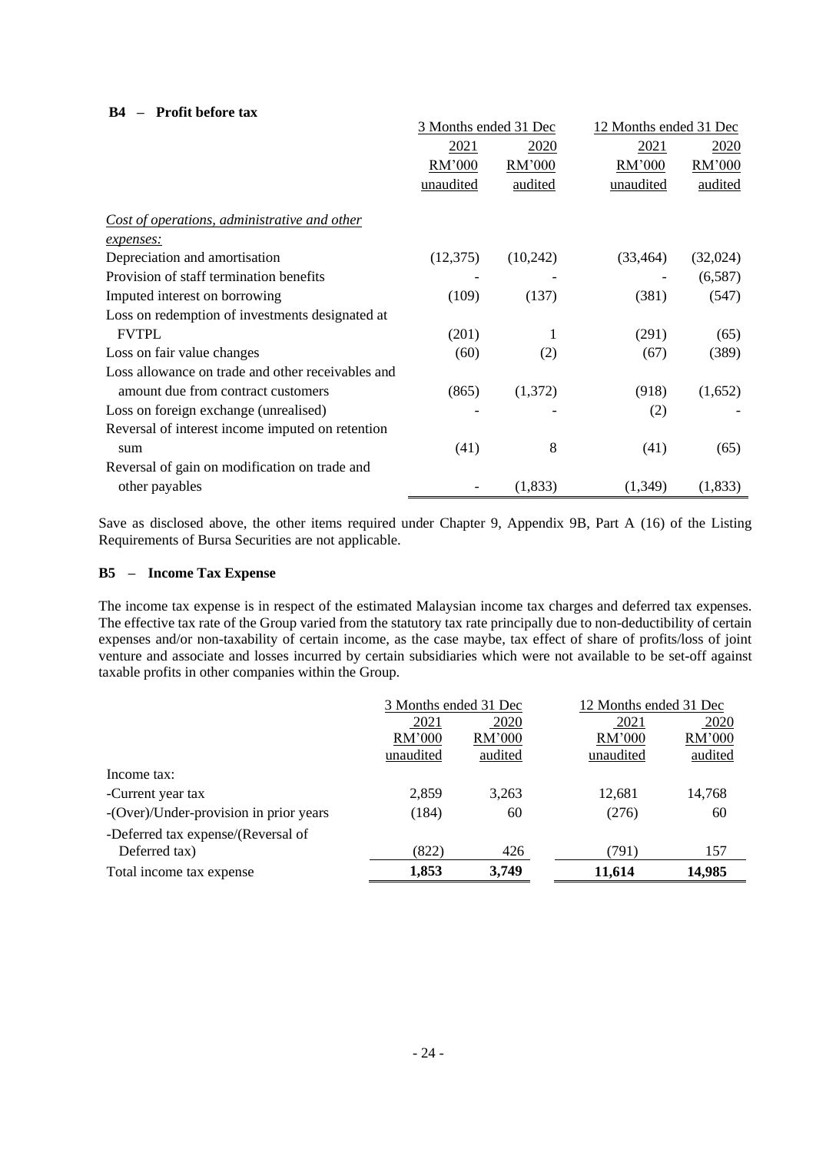### **B4 – Profit before tax**

|                                                   | 3 Months ended 31 Dec |          | 12 Months ended 31 Dec |          |
|---------------------------------------------------|-----------------------|----------|------------------------|----------|
|                                                   | 2021                  | 2020     | 2021                   | 2020     |
|                                                   | RM'000                | RM'000   | RM'000                 | RM'000   |
|                                                   | unaudited             | audited  | unaudited              | audited  |
| Cost of operations, administrative and other      |                       |          |                        |          |
| expenses:                                         |                       |          |                        |          |
| Depreciation and amortisation                     | (12,375)              | (10,242) | (33, 464)              | (32,024) |
| Provision of staff termination benefits           |                       |          |                        | (6,587)  |
| Imputed interest on borrowing                     | (109)                 | (137)    | (381)                  | (547)    |
| Loss on redemption of investments designated at   |                       |          |                        |          |
| <b>FVTPL</b>                                      | (201)                 | 1        | (291)                  | (65)     |
| Loss on fair value changes                        | (60)                  | (2)      | (67)                   | (389)    |
| Loss allowance on trade and other receivables and |                       |          |                        |          |
| amount due from contract customers                | (865)                 | (1,372)  | (918)                  | (1,652)  |
| Loss on foreign exchange (unrealised)             |                       |          | (2)                    |          |
| Reversal of interest income imputed on retention  |                       |          |                        |          |
| sum                                               | (41)                  | 8        | (41)                   | (65)     |
| Reversal of gain on modification on trade and     |                       |          |                        |          |
| other payables                                    |                       | (1,833)  | (1,349)                | (1,833)  |

Save as disclosed above, the other items required under Chapter 9, Appendix 9B, Part A (16) of the Listing Requirements of Bursa Securities are not applicable.

### **B5 – Income Tax Expense**

The income tax expense is in respect of the estimated Malaysian income tax charges and deferred tax expenses. The effective tax rate of the Group varied from the statutory tax rate principally due to non-deductibility of certain expenses and/or non-taxability of certain income, as the case maybe, tax effect of share of profits/loss of joint venture and associate and losses incurred by certain subsidiaries which were not available to be set-off against taxable profits in other companies within the Group.

|                                        | 3 Months ended 31 Dec |         | 12 Months ended 31 Dec |         |
|----------------------------------------|-----------------------|---------|------------------------|---------|
|                                        | 2021                  | 2020    | 2021                   | 2020    |
|                                        | RM'000                | RM'000  | RM'000                 | RM'000  |
|                                        | unaudited             | audited | unaudited              | audited |
| Income tax:                            |                       |         |                        |         |
| -Current year tax                      | 2,859                 | 3.263   | 12,681                 | 14,768  |
| -(Over)/Under-provision in prior years | (184)                 | 60      | (276)                  | 60      |
| -Deferred tax expense/(Reversal of     |                       |         |                        |         |
| Deferred tax)                          | (822)                 | 426     | (791)                  | 157     |
| Total income tax expense               | 1,853                 | 3,749   | 11,614                 | 14,985  |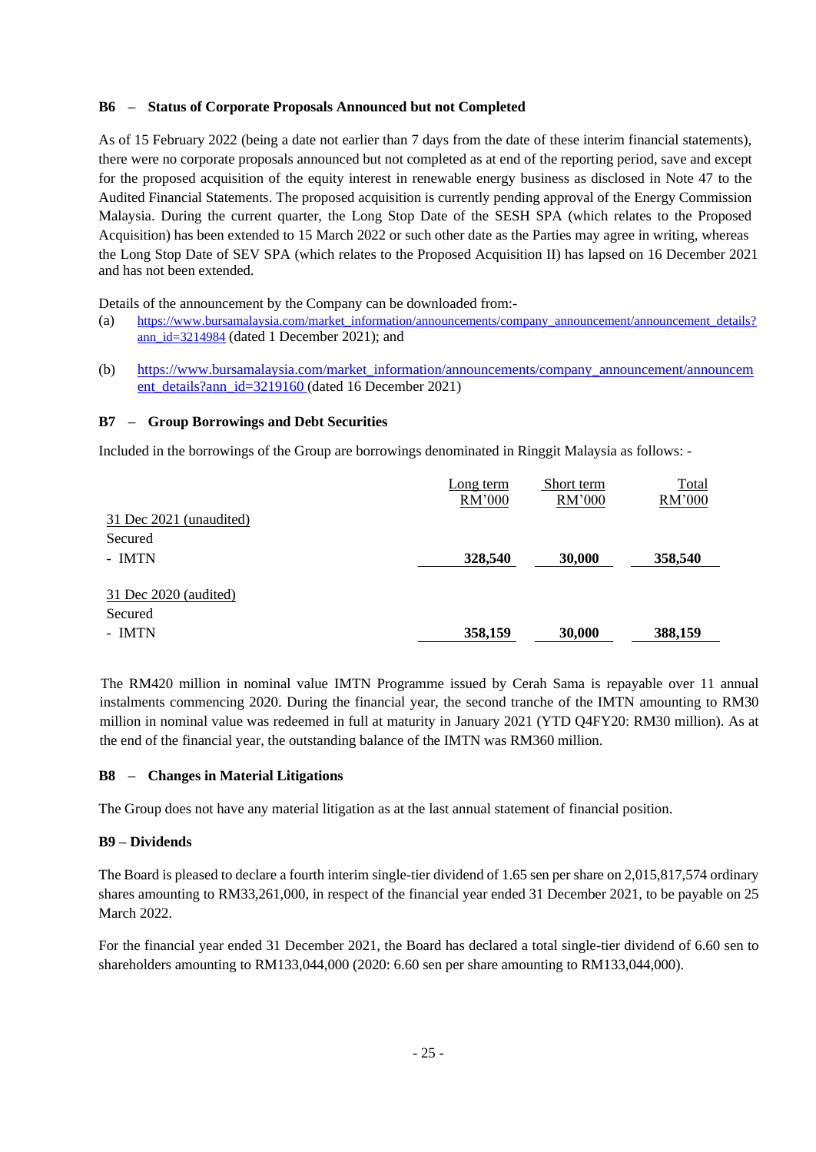### **B6 – Status of Corporate Proposals Announced but not Completed**

As of 15 February 2022 (being a date not earlier than 7 days from the date of these interim financial statements), there were no corporate proposals announced but not completed as at end of the reporting period, save and except for the proposed acquisition of the equity interest in renewable energy business as disclosed in Note 47 to the Audited Financial Statements. The proposed acquisition is currently pending approval of the Energy Commission Malaysia. During the current quarter, the Long Stop Date of the SESH SPA (which relates to the Proposed Acquisition) has been extended to 15 March 2022 or such other date as the Parties may agree in writing, whereas the Long Stop Date of SEV SPA (which relates to the Proposed Acquisition II) has lapsed on 16 December 2021 and has not been extended.

Details of the announcement by the Company can be downloaded from:-

- (a) [https://www.bursamalaysia.com/market\\_information/announcements/company\\_announcement/announcement\\_details?](https://www.bursamalaysia.com/market_information/announcements/company_announcement/announcement_details?ann_id=3214984) [ann\\_id=3214984](https://www.bursamalaysia.com/market_information/announcements/company_announcement/announcement_details?ann_id=3214984) (dated 1 December 2021); and
- (b) [https://www.bursamalaysia.com/market\\_information/announcements/company\\_announcement/announcem](https://www.bursamalaysia.com/market_information/announcements/company_announcement/announcement_details?ann_id=3219160) [ent\\_details?ann\\_id=3219160](https://www.bursamalaysia.com/market_information/announcements/company_announcement/announcement_details?ann_id=3219160) (dated 16 December 2021)

### **B7 – Group Borrowings and Debt Securities**

Included in the borrowings of the Group are borrowings denominated in Ringgit Malaysia as follows: -

|                         | Long term | Short term | Total   |
|-------------------------|-----------|------------|---------|
|                         | RM'000    | RM'000     | RM'000  |
| 31 Dec 2021 (unaudited) |           |            |         |
| Secured                 |           |            |         |
| - IMTN                  | 328,540   | 30,000     | 358,540 |
|                         |           |            |         |
| 31 Dec 2020 (audited)   |           |            |         |
| Secured                 |           |            |         |
| - IMTN                  | 358,159   | 30,000     | 388,159 |

The RM420 million in nominal value IMTN Programme issued by Cerah Sama is repayable over 11 annual instalments commencing 2020. During the financial year, the second tranche of the IMTN amounting to RM30 million in nominal value was redeemed in full at maturity in January 2021 (YTD Q4FY20: RM30 million). As at the end of the financial year, the outstanding balance of the IMTN was RM360 million.

### **B8 – Changes in Material Litigations**

The Group does not have any material litigation as at the last annual statement of financial position.

### **B9 – Dividends**

The Board is pleased to declare a fourth interim single-tier dividend of 1.65 sen per share on 2,015,817,574 ordinary shares amounting to RM33,261,000, in respect of the financial year ended 31 December 2021, to be payable on 25 March 2022.

For the financial year ended 31 December 2021, the Board has declared a total single-tier dividend of 6.60 sen to shareholders amounting to RM133,044,000 (2020: 6.60 sen per share amounting to RM133,044,000).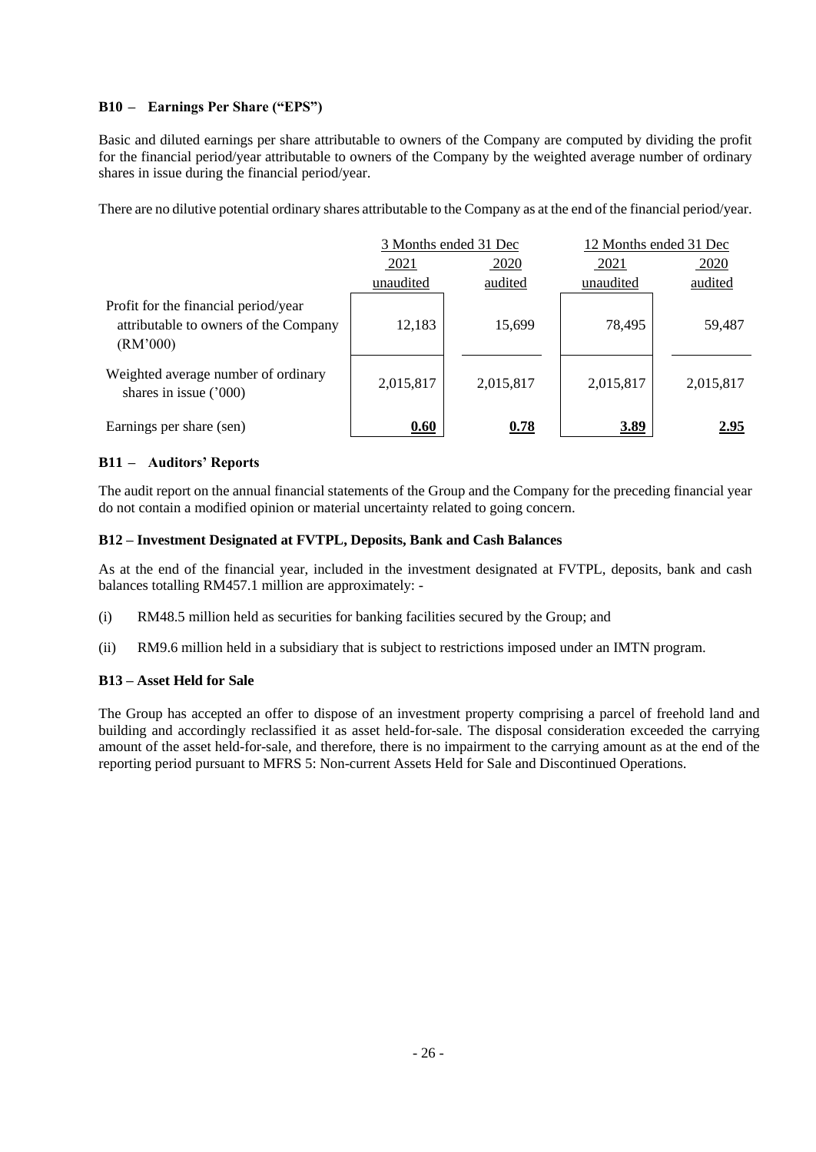### **B10 – Earnings Per Share ("EPS")**

Basic and diluted earnings per share attributable to owners of the Company are computed by dividing the profit for the financial period/year attributable to owners of the Company by the weighted average number of ordinary shares in issue during the financial period/year.

There are no dilutive potential ordinary shares attributable to the Company as at the end of the financial period/year.

|                                                                                           | 3 Months ended 31 Dec |           | 12 Months ended 31 Dec |           |
|-------------------------------------------------------------------------------------------|-----------------------|-----------|------------------------|-----------|
|                                                                                           | 2021                  | 2020      | 2021                   | 2020      |
|                                                                                           | unaudited             | audited   | unaudited              | audited   |
| Profit for the financial period/year<br>attributable to owners of the Company<br>(RM'000) | 12,183                | 15,699    | 78,495                 | 59,487    |
| Weighted average number of ordinary<br>shares in issue $('000)$                           | 2,015,817             | 2,015,817 | 2,015,817              | 2,015,817 |
| Earnings per share (sen)                                                                  | 0.60                  | 0.78      | 3.89                   | 2.95      |

### **B11 – Auditors' Reports**

The audit report on the annual financial statements of the Group and the Company for the preceding financial year do not contain a modified opinion or material uncertainty related to going concern.

### **B12 – Investment Designated at FVTPL, Deposits, Bank and Cash Balances**

As at the end of the financial year, included in the investment designated at FVTPL, deposits, bank and cash balances totalling RM457.1 million are approximately: -

- (i) RM48.5 million held as securities for banking facilities secured by the Group; and
- (ii) RM9.6 million held in a subsidiary that is subject to restrictions imposed under an IMTN program.

### **B13 – Asset Held for Sale**

The Group has accepted an offer to dispose of an investment property comprising a parcel of freehold land and building and accordingly reclassified it as asset held-for-sale. The disposal consideration exceeded the carrying amount of the asset held-for-sale, and therefore, there is no impairment to the carrying amount as at the end of the reporting period pursuant to MFRS 5: Non-current Assets Held for Sale and Discontinued Operations.